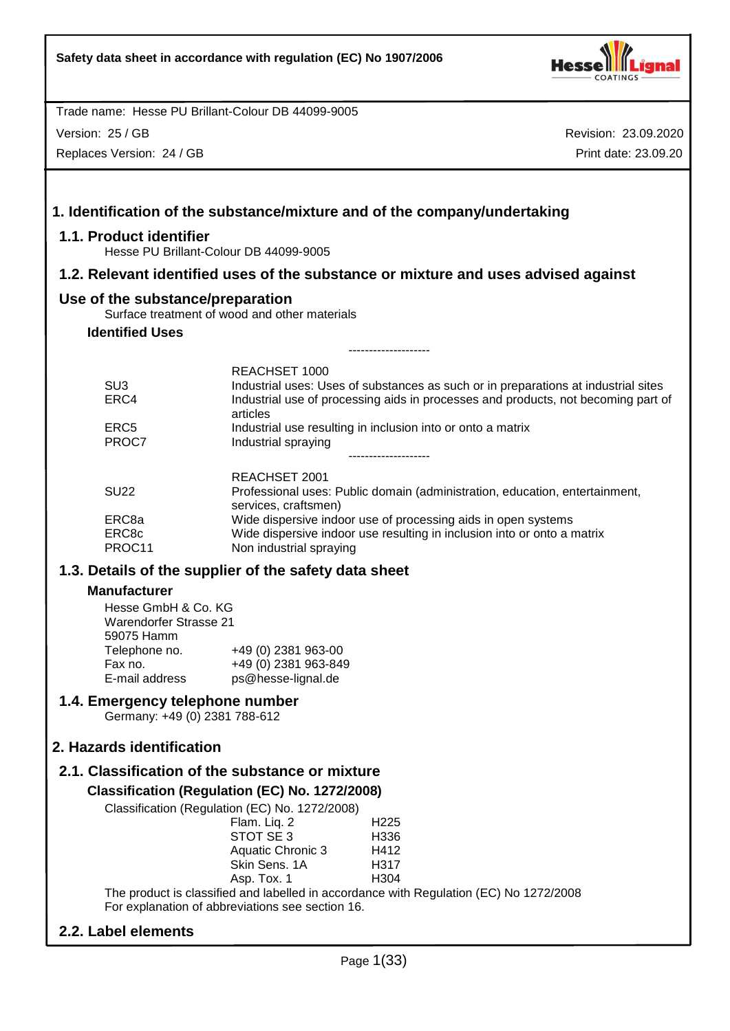

Version: 25 / GB

Replaces Version: 24 / GB

Revision: 23.09.2020 Print date: 23.09.20

|                                                      |                                                                                                       |                                                                                                                                                                                                                                               | 1. Identification of the substance/mixture and of the company/undertaking                                                                                                                                                              |
|------------------------------------------------------|-------------------------------------------------------------------------------------------------------|-----------------------------------------------------------------------------------------------------------------------------------------------------------------------------------------------------------------------------------------------|----------------------------------------------------------------------------------------------------------------------------------------------------------------------------------------------------------------------------------------|
| 1.1. Product identifier                              |                                                                                                       | Hesse PU Brillant-Colour DB 44099-9005                                                                                                                                                                                                        |                                                                                                                                                                                                                                        |
|                                                      |                                                                                                       |                                                                                                                                                                                                                                               | 1.2. Relevant identified uses of the substance or mixture and uses advised against                                                                                                                                                     |
|                                                      | Use of the substance/preparation                                                                      |                                                                                                                                                                                                                                               |                                                                                                                                                                                                                                        |
| <b>Identified Uses</b>                               |                                                                                                       | Surface treatment of wood and other materials                                                                                                                                                                                                 |                                                                                                                                                                                                                                        |
|                                                      |                                                                                                       |                                                                                                                                                                                                                                               |                                                                                                                                                                                                                                        |
| SU <sub>3</sub><br>ERC4<br>ERC <sub>5</sub><br>PROC7 |                                                                                                       | <b>REACHSET 1000</b><br>articles<br>Industrial spraying                                                                                                                                                                                       | Industrial uses: Uses of substances as such or in preparations at industrial sites<br>Industrial use of processing aids in processes and products, not becoming part of<br>Industrial use resulting in inclusion into or onto a matrix |
| <b>SU22</b><br>ERC8a<br>ERC8c<br>PROC11              |                                                                                                       | REACHSET 2001<br>services, craftsmen)<br>Non industrial spraying                                                                                                                                                                              | Professional uses: Public domain (administration, education, entertainment,<br>Wide dispersive indoor use of processing aids in open systems<br>Wide dispersive indoor use resulting in inclusion into or onto a matrix                |
|                                                      |                                                                                                       | 1.3. Details of the supplier of the safety data sheet                                                                                                                                                                                         |                                                                                                                                                                                                                                        |
| <b>Manufacturer</b>                                  |                                                                                                       |                                                                                                                                                                                                                                               |                                                                                                                                                                                                                                        |
| Fax no.                                              | Hesse GmbH & Co. KG<br><b>Warendorfer Strasse 21</b><br>59075 Hamm<br>Telephone no.<br>E-mail address | +49 (0) 2381 963-00<br>+49 (0) 2381 963-849<br>ps@hesse-lignal.de                                                                                                                                                                             |                                                                                                                                                                                                                                        |
|                                                      | 1.4. Emergency telephone number<br>Germany: +49 (0) 2381 788-612                                      |                                                                                                                                                                                                                                               |                                                                                                                                                                                                                                        |
|                                                      | 2. Hazards identification                                                                             |                                                                                                                                                                                                                                               |                                                                                                                                                                                                                                        |
|                                                      |                                                                                                       | 2.1. Classification of the substance or mixture                                                                                                                                                                                               |                                                                                                                                                                                                                                        |
|                                                      |                                                                                                       | Classification (Regulation (EC) No. 1272/2008)<br>Classification (Regulation (EC) No. 1272/2008)<br>Flam. Liq. 2<br>STOT SE 3<br><b>Aquatic Chronic 3</b><br>Skin Sens. 1A<br>Asp. Tox. 1<br>For explanation of abbreviations see section 16. | H225<br>H336<br>H412<br>H317<br>H304<br>The product is classified and labelled in accordance with Regulation (EC) No 1272/2008                                                                                                         |

# **2.2. Label elements**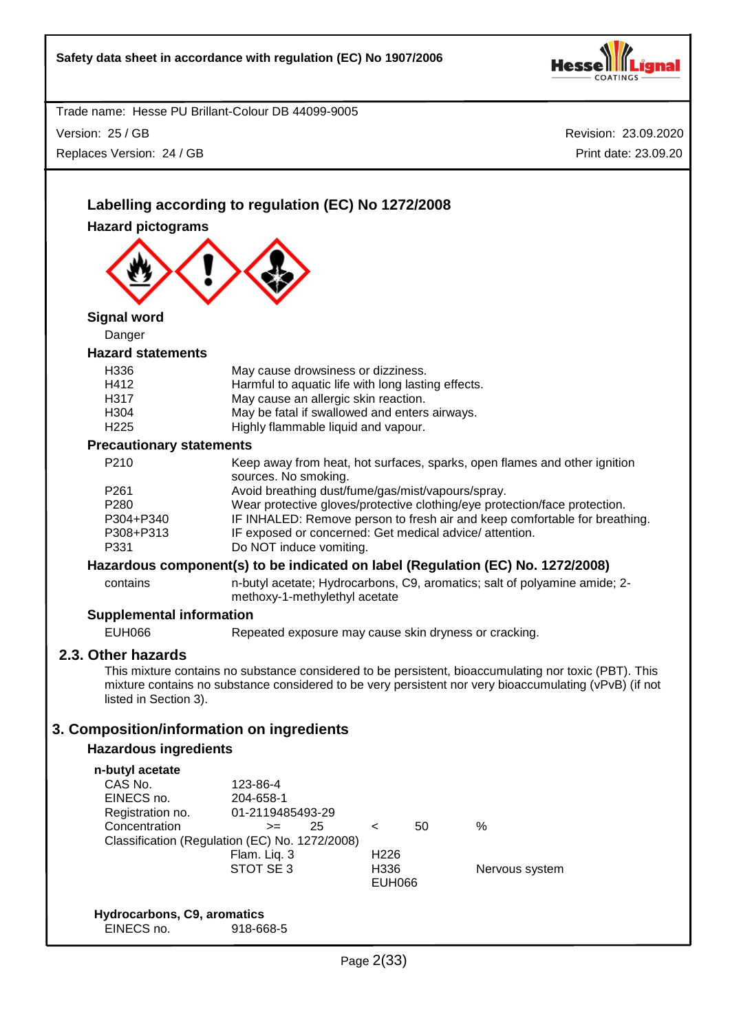

Trade name: Hesse PU Brillant-Colour DB 44099-9005 Version: 25 / GB

Replaces Version: 24 / GB

| Labelling according to regulation (EC) No 1272/2008 |                                                        |                                                                                                            |    |                                                                                                        |  |
|-----------------------------------------------------|--------------------------------------------------------|------------------------------------------------------------------------------------------------------------|----|--------------------------------------------------------------------------------------------------------|--|
| <b>Hazard pictograms</b>                            |                                                        |                                                                                                            |    |                                                                                                        |  |
|                                                     |                                                        |                                                                                                            |    |                                                                                                        |  |
|                                                     |                                                        |                                                                                                            |    |                                                                                                        |  |
|                                                     |                                                        |                                                                                                            |    |                                                                                                        |  |
|                                                     |                                                        |                                                                                                            |    |                                                                                                        |  |
| <b>Signal word</b>                                  |                                                        |                                                                                                            |    |                                                                                                        |  |
| Danger                                              |                                                        |                                                                                                            |    |                                                                                                        |  |
| <b>Hazard statements</b>                            |                                                        |                                                                                                            |    |                                                                                                        |  |
| H336                                                | May cause drowsiness or dizziness.                     |                                                                                                            |    |                                                                                                        |  |
| H412                                                | Harmful to aquatic life with long lasting effects.     |                                                                                                            |    |                                                                                                        |  |
| H317                                                | May cause an allergic skin reaction.                   |                                                                                                            |    |                                                                                                        |  |
| H304                                                | May be fatal if swallowed and enters airways.          |                                                                                                            |    |                                                                                                        |  |
| H <sub>225</sub>                                    | Highly flammable liquid and vapour.                    |                                                                                                            |    |                                                                                                        |  |
| <b>Precautionary statements</b><br>P210             |                                                        |                                                                                                            |    |                                                                                                        |  |
|                                                     | sources. No smoking.                                   |                                                                                                            |    | Keep away from heat, hot surfaces, sparks, open flames and other ignition                              |  |
| P <sub>261</sub>                                    | Avoid breathing dust/fume/gas/mist/vapours/spray.      |                                                                                                            |    |                                                                                                        |  |
| P280                                                |                                                        |                                                                                                            |    | Wear protective gloves/protective clothing/eye protection/face protection.                             |  |
| P304+P340                                           |                                                        |                                                                                                            |    | IF INHALED: Remove person to fresh air and keep comfortable for breathing.                             |  |
| P308+P313                                           | IF exposed or concerned: Get medical advice/attention. |                                                                                                            |    |                                                                                                        |  |
| P331                                                | Do NOT induce vomiting.                                |                                                                                                            |    |                                                                                                        |  |
|                                                     |                                                        |                                                                                                            |    | Hazardous component(s) to be indicated on label (Regulation (EC) No. 1272/2008)                        |  |
| contains                                            |                                                        | n-butyl acetate; Hydrocarbons, C9, aromatics; salt of polyamine amide; 2-<br>methoxy-1-methylethyl acetate |    |                                                                                                        |  |
| <b>Supplemental information</b>                     |                                                        |                                                                                                            |    |                                                                                                        |  |
| <b>EUH066</b>                                       | Repeated exposure may cause skin dryness or cracking.  |                                                                                                            |    |                                                                                                        |  |
| 2.3. Other hazards                                  |                                                        |                                                                                                            |    |                                                                                                        |  |
|                                                     |                                                        |                                                                                                            |    | This mixture contains no substance considered to be persistent, bioaccumulating nor toxic (PBT). This  |  |
|                                                     |                                                        |                                                                                                            |    | mixture contains no substance considered to be very persistent nor very bioaccumulating (vPvB) (if not |  |
| listed in Section 3).                               |                                                        |                                                                                                            |    |                                                                                                        |  |
| 3. Composition/information on ingredients           |                                                        |                                                                                                            |    |                                                                                                        |  |
| <b>Hazardous ingredients</b>                        |                                                        |                                                                                                            |    |                                                                                                        |  |
|                                                     |                                                        |                                                                                                            |    |                                                                                                        |  |
| n-butyl acetate                                     |                                                        |                                                                                                            |    |                                                                                                        |  |
| CAS No.<br>EINECS no.                               | 123-86-4<br>204-658-1                                  |                                                                                                            |    |                                                                                                        |  |
| Registration no.                                    | 01-2119485493-29                                       |                                                                                                            |    |                                                                                                        |  |
| Concentration                                       | 25<br>$>=$                                             | $\,<\,$                                                                                                    | 50 | $\frac{0}{0}$                                                                                          |  |
|                                                     | Classification (Regulation (EC) No. 1272/2008)         |                                                                                                            |    |                                                                                                        |  |
|                                                     | Flam. Liq. 3                                           | H <sub>226</sub>                                                                                           |    |                                                                                                        |  |
|                                                     | STOT SE 3                                              | H336                                                                                                       |    | Nervous system                                                                                         |  |
|                                                     |                                                        | EUH066                                                                                                     |    |                                                                                                        |  |
| Hydrocarbons, C9, aromatics                         |                                                        |                                                                                                            |    |                                                                                                        |  |
| EINECS no.                                          | 918-668-5                                              |                                                                                                            |    |                                                                                                        |  |
|                                                     |                                                        |                                                                                                            |    |                                                                                                        |  |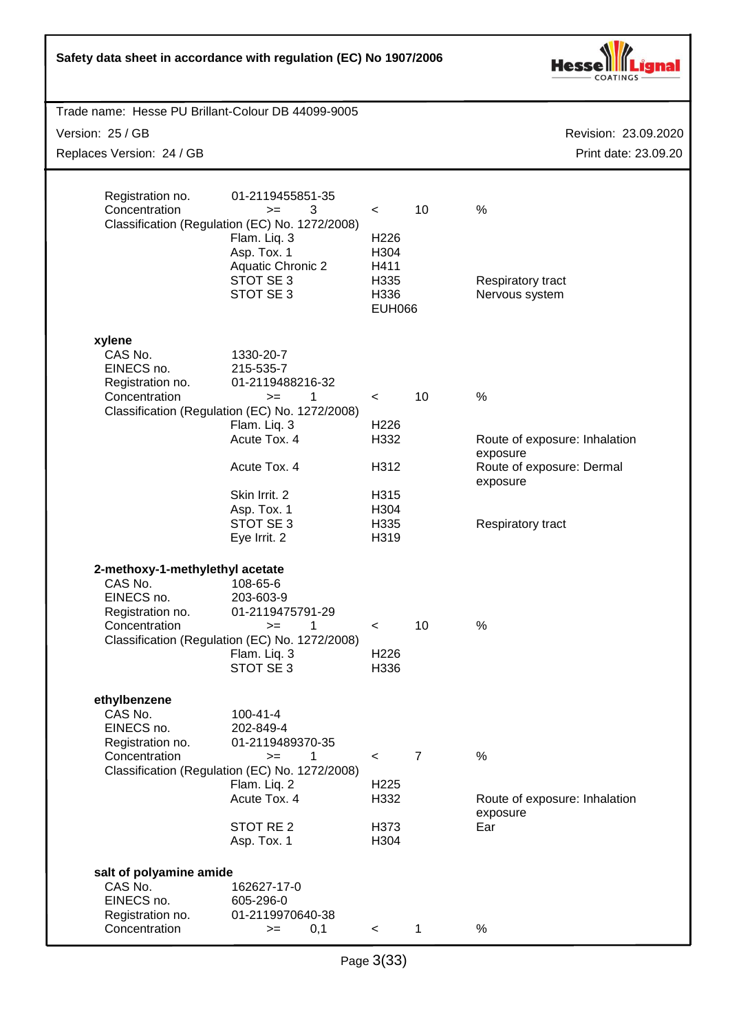| Safety data sheet in accordance with regulation (EC) No 1907/2006                                                                                                           |                                                                                                                                                                                                                                                         |                                                                              |                      |                                                                                                                          |
|-----------------------------------------------------------------------------------------------------------------------------------------------------------------------------|---------------------------------------------------------------------------------------------------------------------------------------------------------------------------------------------------------------------------------------------------------|------------------------------------------------------------------------------|----------------------|--------------------------------------------------------------------------------------------------------------------------|
| Trade name: Hesse PU Brillant-Colour DB 44099-9005                                                                                                                          |                                                                                                                                                                                                                                                         |                                                                              |                      |                                                                                                                          |
| Version: 25 / GB                                                                                                                                                            |                                                                                                                                                                                                                                                         |                                                                              |                      | Revision: 23.09.2020                                                                                                     |
| Replaces Version: 24 / GB                                                                                                                                                   |                                                                                                                                                                                                                                                         |                                                                              |                      | Print date: 23.09.20                                                                                                     |
| Registration no.<br>Concentration                                                                                                                                           | 01-2119455851-35<br>3<br>$>=$<br>Classification (Regulation (EC) No. 1272/2008)<br>Flam. Liq. 3<br>Asp. Tox. 1<br><b>Aquatic Chronic 2</b><br>STOT SE 3<br>STOT SE 3                                                                                    | $\,<\,$<br>H <sub>226</sub><br>H304<br>H411<br>H335<br>H336<br><b>EUH066</b> | 10                   | $\frac{0}{0}$<br>Respiratory tract<br>Nervous system                                                                     |
| xylene<br>CAS No.<br>EINECS no.<br>Registration no.<br>Concentration                                                                                                        | 1330-20-7<br>215-535-7<br>01-2119488216-32<br>1<br>$>=$<br>Classification (Regulation (EC) No. 1272/2008)<br>Flam. Liq. 3<br>Acute Tox. 4<br>Acute Tox. 4<br>Skin Irrit. 2<br>Asp. Tox. 1<br>STOT SE 3<br>Eye Irrit. 2                                  | $\prec$<br>H226<br>H332<br>H312<br>H315<br>H304<br>H335<br>H319              | 10                   | $\frac{0}{0}$<br>Route of exposure: Inhalation<br>exposure<br>Route of exposure: Dermal<br>exposure<br>Respiratory tract |
| 2-methoxy-1-methylethyl acetate<br>CAS No.<br>EINECS no.<br>Registration no.<br>Concentration<br>ethylbenzene<br>CAS No.<br>EINECS no.<br>Registration no.<br>Concentration | 108-65-6<br>203-603-9<br>01-2119475791-29<br>1<br>$>=$<br>Classification (Regulation (EC) No. 1272/2008)<br>Flam. Liq. 3<br>STOT SE 3<br>$100 - 41 - 4$<br>202-849-4<br>01-2119489370-35<br>1<br>$>=$<br>Classification (Regulation (EC) No. 1272/2008) | $\,<\,$<br>H226<br>H336<br>$\,<\,$                                           | 10<br>$\overline{7}$ | $\%$<br>$\%$                                                                                                             |
|                                                                                                                                                                             | Flam. Liq. 2<br>Acute Tox. 4<br>STOT RE <sub>2</sub><br>Asp. Tox. 1                                                                                                                                                                                     | H <sub>225</sub><br>H332<br>H373<br>H304                                     |                      | Route of exposure: Inhalation<br>exposure<br>Ear                                                                         |
| salt of polyamine amide<br>CAS No.<br>EINECS no.<br>Registration no.<br>Concentration                                                                                       | 162627-17-0<br>605-296-0<br>01-2119970640-38<br>0,1<br>$>=$                                                                                                                                                                                             | $\lt$                                                                        | $\mathbf{1}$         | $\%$                                                                                                                     |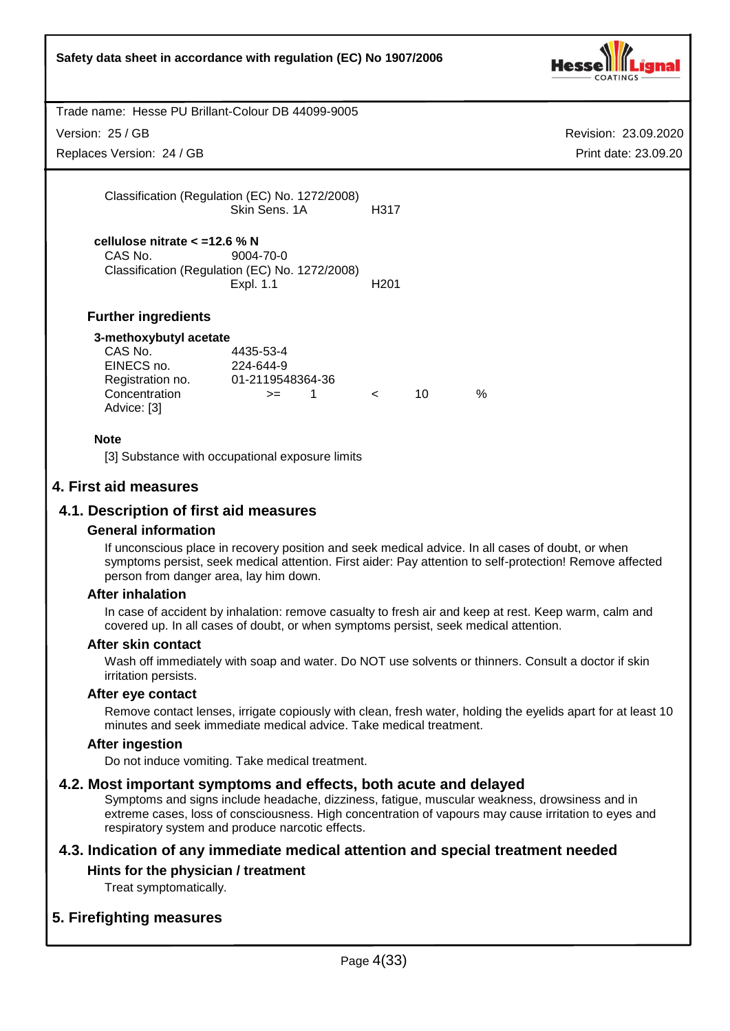| Safety data sheet in accordance with regulation (EC) No 1907/2006                                   |                                                                          |                  |    |               |                      |
|-----------------------------------------------------------------------------------------------------|--------------------------------------------------------------------------|------------------|----|---------------|----------------------|
| Trade name: Hesse PU Brillant-Colour DB 44099-9005                                                  |                                                                          |                  |    |               |                      |
| Version: 25 / GB                                                                                    |                                                                          |                  |    |               | Revision: 23.09.2020 |
| Replaces Version: 24 / GB                                                                           |                                                                          |                  |    |               | Print date: 23.09.20 |
|                                                                                                     | Classification (Regulation (EC) No. 1272/2008)<br>Skin Sens, 1A          | H317             |    |               |                      |
| cellulose nitrate $<$ =12.6 % N<br>CAS No.                                                          | 9004-70-0<br>Classification (Regulation (EC) No. 1272/2008)<br>Expl. 1.1 | H <sub>201</sub> |    |               |                      |
| <b>Further ingredients</b>                                                                          |                                                                          |                  |    |               |                      |
| 3-methoxybutyl acetate<br>CAS No.<br>EINECS no.<br>Registration no.<br>Concentration<br>Advice: [3] | 4435-53-4<br>224-644-9<br>01-2119548364-36<br>1<br>$>=$                  | $\lt$            | 10 | $\frac{0}{0}$ |                      |
| <b>Note</b>                                                                                         | [3] Substance with occupational exposure limits                          |                  |    |               |                      |
| 4. First aid measures                                                                               |                                                                          |                  |    |               |                      |
| 4.1. Description of first aid measures                                                              |                                                                          |                  |    |               |                      |

## **General information**

If unconscious place in recovery position and seek medical advice. In all cases of doubt, or when symptoms persist, seek medical attention. First aider: Pay attention to self-protection! Remove affected person from danger area, lay him down.

#### **After inhalation**

In case of accident by inhalation: remove casualty to fresh air and keep at rest. Keep warm, calm and covered up. In all cases of doubt, or when symptoms persist, seek medical attention.

#### **After skin contact**

Wash off immediately with soap and water. Do NOT use solvents or thinners. Consult a doctor if skin irritation persists.

#### **After eye contact**

Remove contact lenses, irrigate copiously with clean, fresh water, holding the eyelids apart for at least 10 minutes and seek immediate medical advice. Take medical treatment.

#### **After ingestion**

Do not induce vomiting. Take medical treatment.

## **4.2. Most important symptoms and effects, both acute and delayed**

Symptoms and signs include headache, dizziness, fatigue, muscular weakness, drowsiness and in extreme cases, loss of consciousness. High concentration of vapours may cause irritation to eyes and respiratory system and produce narcotic effects.

# **4.3. Indication of any immediate medical attention and special treatment needed**

## **Hints for the physician / treatment**

Treat symptomatically.

# **5. Firefighting measures**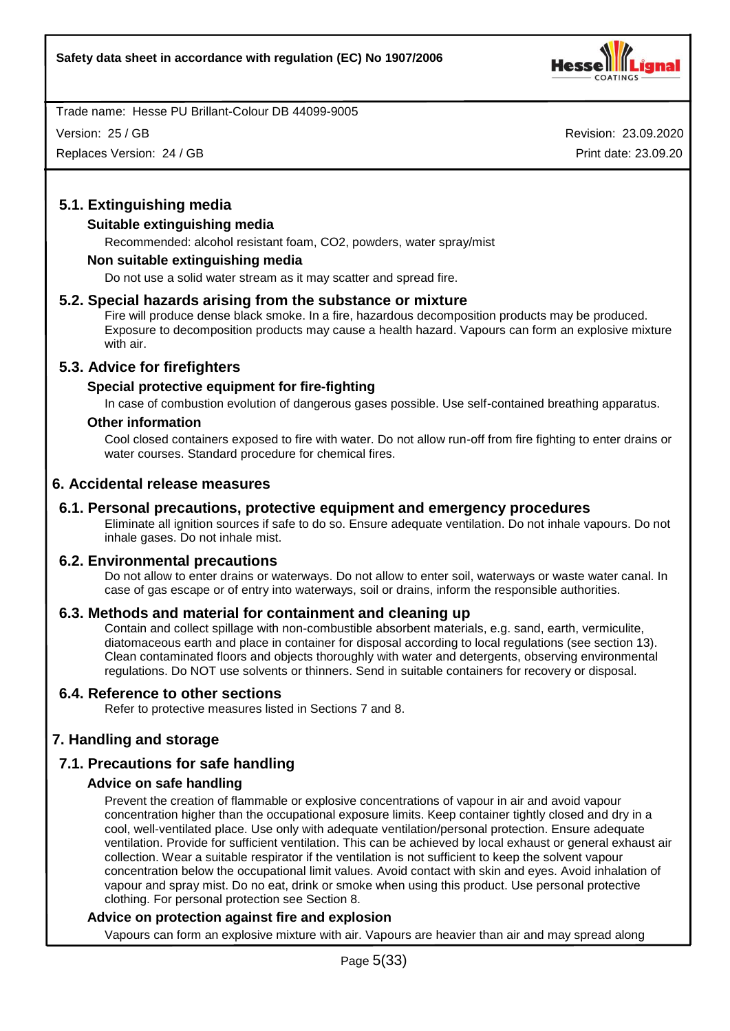

Version: 25 / GB

Replaces Version: 24 / GB

Revision: 23.09.2020 Print date: 23.09.20

# **5.1. Extinguishing media**

# **Suitable extinguishing media**

Recommended: alcohol resistant foam, CO2, powders, water spray/mist

## **Non suitable extinguishing media**

Do not use a solid water stream as it may scatter and spread fire.

## **5.2. Special hazards arising from the substance or mixture**

Fire will produce dense black smoke. In a fire, hazardous decomposition products may be produced. Exposure to decomposition products may cause a health hazard. Vapours can form an explosive mixture with air.

## **5.3. Advice for firefighters**

## **Special protective equipment for fire-fighting**

In case of combustion evolution of dangerous gases possible. Use self-contained breathing apparatus.

#### **Other information**

Cool closed containers exposed to fire with water. Do not allow run-off from fire fighting to enter drains or water courses. Standard procedure for chemical fires.

## **6. Accidental release measures**

## **6.1. Personal precautions, protective equipment and emergency procedures**

Eliminate all ignition sources if safe to do so. Ensure adequate ventilation. Do not inhale vapours. Do not inhale gases. Do not inhale mist.

#### **6.2. Environmental precautions**

Do not allow to enter drains or waterways. Do not allow to enter soil, waterways or waste water canal. In case of gas escape or of entry into waterways, soil or drains, inform the responsible authorities.

## **6.3. Methods and material for containment and cleaning up**

Contain and collect spillage with non-combustible absorbent materials, e.g. sand, earth, vermiculite, diatomaceous earth and place in container for disposal according to local regulations (see section 13). Clean contaminated floors and objects thoroughly with water and detergents, observing environmental regulations. Do NOT use solvents or thinners. Send in suitable containers for recovery or disposal.

## **6.4. Reference to other sections**

Refer to protective measures listed in Sections 7 and 8.

# **7. Handling and storage**

# **7.1. Precautions for safe handling**

## **Advice on safe handling**

Prevent the creation of flammable or explosive concentrations of vapour in air and avoid vapour concentration higher than the occupational exposure limits. Keep container tightly closed and dry in a cool, well-ventilated place. Use only with adequate ventilation/personal protection. Ensure adequate ventilation. Provide for sufficient ventilation. This can be achieved by local exhaust or general exhaust air collection. Wear a suitable respirator if the ventilation is not sufficient to keep the solvent vapour concentration below the occupational limit values. Avoid contact with skin and eyes. Avoid inhalation of vapour and spray mist. Do no eat, drink or smoke when using this product. Use personal protective clothing. For personal protection see Section 8.

#### **Advice on protection against fire and explosion**

Vapours can form an explosive mixture with air. Vapours are heavier than air and may spread along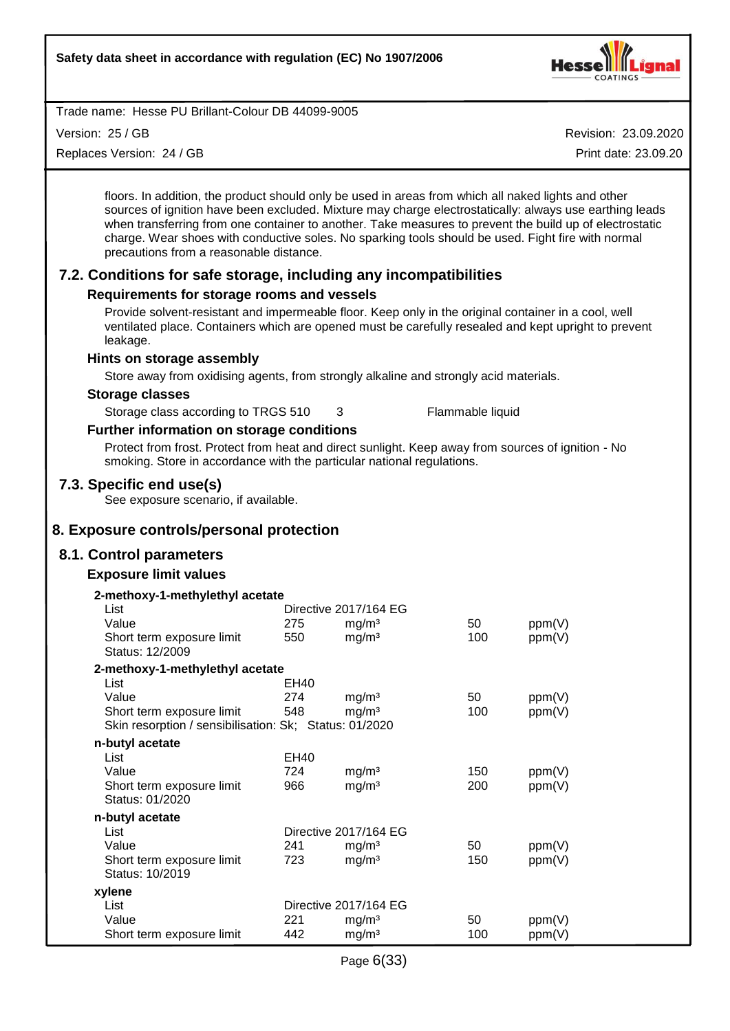

Version: 25 / GB

Replaces Version: 24 / GB

Revision: 23.09.2020

Print date: 23.09.20

floors. In addition, the product should only be used in areas from which all naked lights and other sources of ignition have been excluded. Mixture may charge electrostatically: always use earthing leads when transferring from one container to another. Take measures to prevent the build up of electrostatic charge. Wear shoes with conductive soles. No sparking tools should be used. Fight fire with normal precautions from a reasonable distance.

# **7.2. Conditions for safe storage, including any incompatibilities**

## **Requirements for storage rooms and vessels**

Provide solvent-resistant and impermeable floor. Keep only in the original container in a cool, well ventilated place. Containers which are opened must be carefully resealed and kept upright to prevent leakage.

#### **Hints on storage assembly**

Store away from oxidising agents, from strongly alkaline and strongly acid materials.

#### **Storage classes**

Storage class according to TRGS 510 3 Flammable liquid

# **Further information on storage conditions**

Protect from frost. Protect from heat and direct sunlight. Keep away from sources of ignition - No smoking. Store in accordance with the particular national regulations.

## **7.3. Specific end use(s)**

See exposure scenario, if available.

# **8. Exposure controls/personal protection**

## **8.1. Control parameters**

## **Exposure limit values**

| 2-methoxy-1-methylethyl acetate                        |      |                       |     |        |
|--------------------------------------------------------|------|-----------------------|-----|--------|
| List                                                   |      | Directive 2017/164 EG |     |        |
| Value                                                  | 275  | mg/m <sup>3</sup>     | 50  | ppm(V) |
| Short term exposure limit                              | 550  | mg/m <sup>3</sup>     | 100 | ppm(V) |
| Status: 12/2009                                        |      |                       |     |        |
| 2-methoxy-1-methylethyl acetate                        |      |                       |     |        |
| List                                                   | EH40 |                       |     |        |
| Value                                                  | 274  | mg/m <sup>3</sup>     | 50  | ppm(V) |
| Short term exposure limit                              | 548  | mg/m <sup>3</sup>     | 100 | ppm(V) |
| Skin resorption / sensibilisation: Sk; Status: 01/2020 |      |                       |     |        |
| n-butyl acetate                                        |      |                       |     |        |
| List                                                   | EH40 |                       |     |        |
| Value                                                  | 724  | mg/m <sup>3</sup>     | 150 | ppm(V) |
| Short term exposure limit                              | 966  | mg/m <sup>3</sup>     | 200 | ppm(V) |
| Status: 01/2020                                        |      |                       |     |        |
| n-butyl acetate                                        |      |                       |     |        |
| List                                                   |      | Directive 2017/164 EG |     |        |
| Value                                                  | 241  | mg/m <sup>3</sup>     | 50  | ppm(V) |
| Short term exposure limit                              | 723  | mg/m <sup>3</sup>     | 150 | ppm(V) |
| Status: 10/2019                                        |      |                       |     |        |
| xylene                                                 |      |                       |     |        |
| List                                                   |      | Directive 2017/164 EG |     |        |
| Value                                                  | 221  | mg/m <sup>3</sup>     | 50  | ppm(V) |
| Short term exposure limit                              | 442  | mg/m <sup>3</sup>     | 100 | ppm(V) |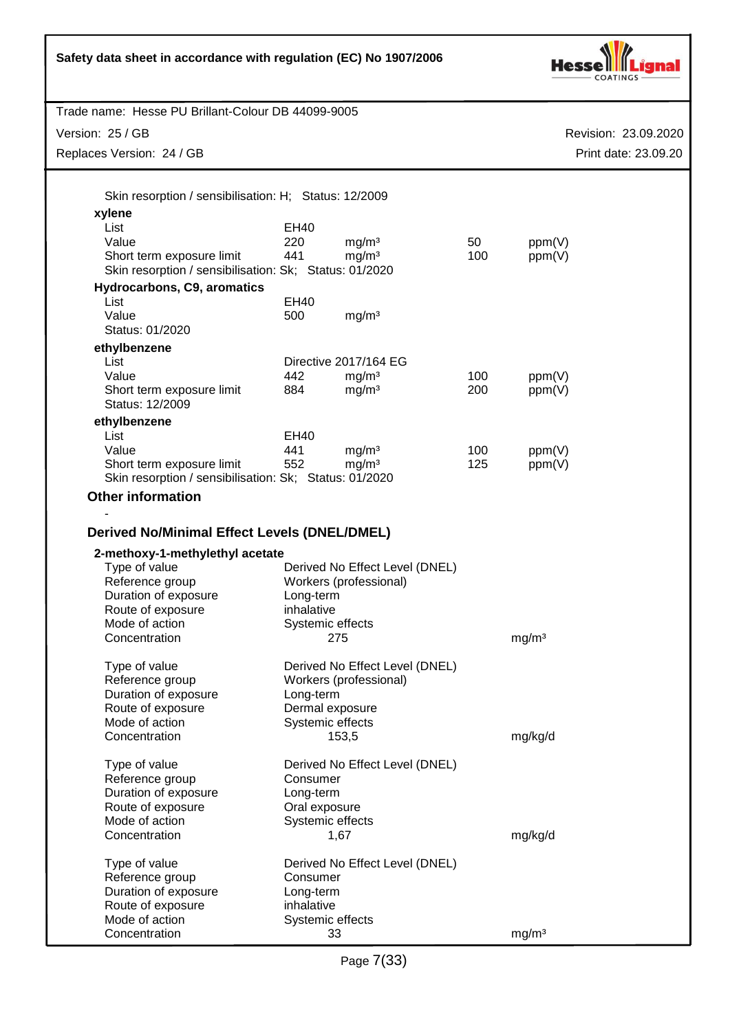|                                                                                     | Safety data sheet in accordance with regulation (EC) No 1907/2006 |                                                          |     |                      |  |
|-------------------------------------------------------------------------------------|-------------------------------------------------------------------|----------------------------------------------------------|-----|----------------------|--|
| Trade name: Hesse PU Brillant-Colour DB 44099-9005                                  |                                                                   |                                                          |     |                      |  |
| Version: 25 / GB                                                                    |                                                                   |                                                          |     | Revision: 23.09.2020 |  |
| Replaces Version: 24 / GB                                                           |                                                                   |                                                          |     | Print date: 23.09.20 |  |
| Skin resorption / sensibilisation: H; Status: 12/2009<br>xylene<br>List             | EH40                                                              |                                                          |     |                      |  |
| Value                                                                               | 220                                                               | mg/m <sup>3</sup>                                        | 50  | ppm(V)               |  |
| Short term exposure limit                                                           | 441                                                               | mg/m <sup>3</sup>                                        | 100 | ppm(V)               |  |
| Skin resorption / sensibilisation: Sk; Status: 01/2020                              |                                                                   |                                                          |     |                      |  |
| Hydrocarbons, C9, aromatics                                                         |                                                                   |                                                          |     |                      |  |
| List<br>Value                                                                       | <b>EH40</b><br>500                                                |                                                          |     |                      |  |
| Status: 01/2020                                                                     |                                                                   | mg/m <sup>3</sup>                                        |     |                      |  |
| ethylbenzene                                                                        |                                                                   |                                                          |     |                      |  |
| List                                                                                |                                                                   | Directive 2017/164 EG                                    |     |                      |  |
| Value                                                                               | 442                                                               | mg/m <sup>3</sup>                                        | 100 | ppm(V)               |  |
| Short term exposure limit<br>Status: 12/2009                                        | 884                                                               | mg/m <sup>3</sup>                                        | 200 | ppm(V)               |  |
| ethylbenzene                                                                        |                                                                   |                                                          |     |                      |  |
| List                                                                                | EH40                                                              |                                                          |     |                      |  |
| Value                                                                               | 441                                                               | mg/m <sup>3</sup>                                        | 100 | ppm(V)               |  |
| Short term exposure limit<br>Skin resorption / sensibilisation: Sk; Status: 01/2020 | 552                                                               | mg/m <sup>3</sup>                                        | 125 | ppm(V)               |  |
| <b>Other information</b>                                                            |                                                                   |                                                          |     |                      |  |
|                                                                                     |                                                                   |                                                          |     |                      |  |
| <b>Derived No/Minimal Effect Levels (DNEL/DMEL)</b>                                 |                                                                   |                                                          |     |                      |  |
| 2-methoxy-1-methylethyl acetate                                                     |                                                                   |                                                          |     |                      |  |
| Type of value                                                                       |                                                                   | Derived No Effect Level (DNEL)                           |     |                      |  |
| Reference group<br>Duration of exposure                                             | Long-term                                                         | Workers (professional)                                   |     |                      |  |
| Route of exposure                                                                   | inhalative                                                        |                                                          |     |                      |  |
| Mode of action                                                                      | Systemic effects                                                  |                                                          |     |                      |  |
| Concentration                                                                       |                                                                   | 275                                                      |     | mg/m <sup>3</sup>    |  |
| Type of value                                                                       |                                                                   | Derived No Effect Level (DNEL)<br>Workers (professional) |     |                      |  |
| Reference group<br>Duration of exposure                                             | Long-term                                                         |                                                          |     |                      |  |
| Route of exposure                                                                   |                                                                   | Dermal exposure                                          |     |                      |  |
| Mode of action                                                                      | Systemic effects                                                  |                                                          |     |                      |  |
| Concentration                                                                       |                                                                   | 153,5                                                    |     | mg/kg/d              |  |
| Type of value                                                                       |                                                                   | Derived No Effect Level (DNEL)                           |     |                      |  |
| Reference group                                                                     | Consumer                                                          |                                                          |     |                      |  |
| Duration of exposure                                                                | Long-term                                                         |                                                          |     |                      |  |
| Route of exposure<br>Mode of action                                                 | Oral exposure<br>Systemic effects                                 |                                                          |     |                      |  |
| Concentration                                                                       |                                                                   | 1,67                                                     |     | mg/kg/d              |  |
| Type of value                                                                       |                                                                   | Derived No Effect Level (DNEL)                           |     |                      |  |
| Reference group                                                                     | Consumer                                                          |                                                          |     |                      |  |
| Duration of exposure                                                                | Long-term                                                         |                                                          |     |                      |  |
| Route of exposure                                                                   | inhalative                                                        |                                                          |     |                      |  |
| Mode of action                                                                      | Systemic effects                                                  |                                                          |     |                      |  |
| Concentration                                                                       |                                                                   | 33                                                       |     | mg/m <sup>3</sup>    |  |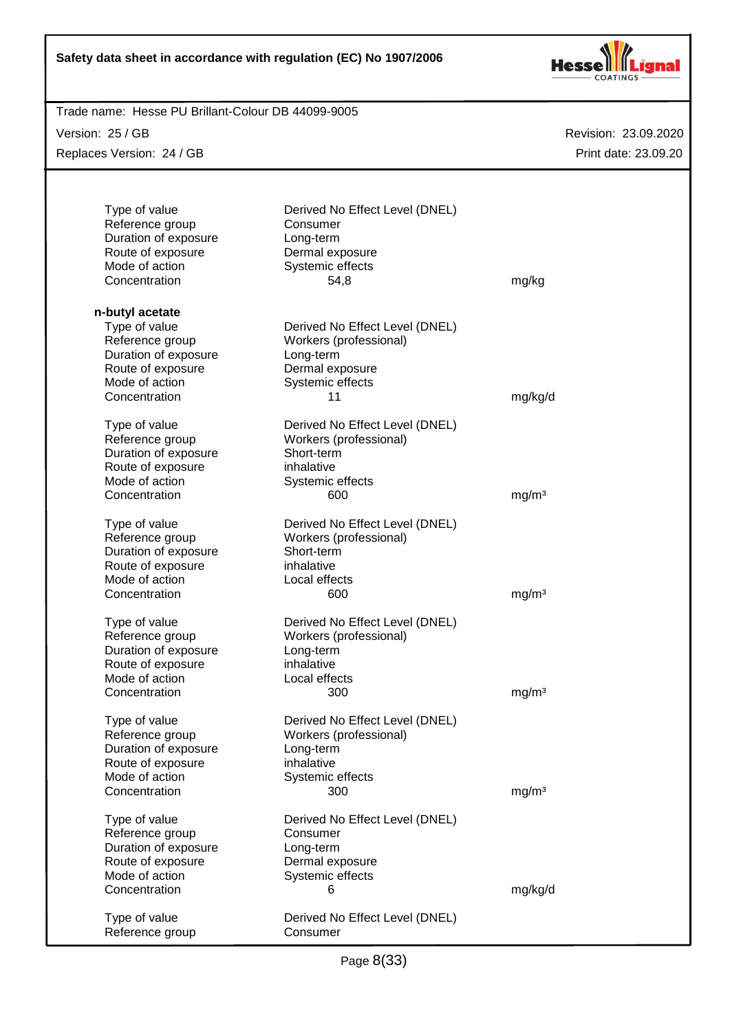

| Trade name: Hesse PU Brillant-Colour DB 44099-9005 |                                |                      |
|----------------------------------------------------|--------------------------------|----------------------|
| Version: 25 / GB                                   |                                | Revision: 23.09.2020 |
| Replaces Version: 24 / GB                          |                                | Print date: 23.09.20 |
|                                                    |                                |                      |
|                                                    |                                |                      |
|                                                    |                                |                      |
| Type of value                                      | Derived No Effect Level (DNEL) |                      |
| Reference group                                    | Consumer                       |                      |
| Duration of exposure                               | Long-term                      |                      |
| Route of exposure                                  | Dermal exposure                |                      |
| Mode of action                                     | Systemic effects               |                      |
| Concentration                                      | 54,8                           | mg/kg                |
|                                                    |                                |                      |
| n-butyl acetate                                    |                                |                      |
| Type of value                                      | Derived No Effect Level (DNEL) |                      |
| Reference group                                    | Workers (professional)         |                      |
| Duration of exposure                               | Long-term                      |                      |
| Route of exposure                                  | Dermal exposure                |                      |
| Mode of action                                     | Systemic effects               |                      |
| Concentration                                      | 11                             | mg/kg/d              |
|                                                    |                                |                      |
| Type of value                                      | Derived No Effect Level (DNEL) |                      |
| Reference group                                    | Workers (professional)         |                      |
| Duration of exposure                               | Short-term                     |                      |
| Route of exposure                                  | inhalative                     |                      |
| Mode of action                                     | Systemic effects               |                      |
| Concentration                                      | 600                            | mg/m <sup>3</sup>    |
|                                                    |                                |                      |
| Type of value                                      | Derived No Effect Level (DNEL) |                      |
| Reference group                                    | Workers (professional)         |                      |
| Duration of exposure                               | Short-term                     |                      |
| Route of exposure                                  | inhalative                     |                      |
| Mode of action                                     | Local effects                  |                      |
| Concentration                                      | 600                            | mg/m <sup>3</sup>    |
|                                                    |                                |                      |
| Type of value                                      | Derived No Effect Level (DNEL) |                      |
| Reference group                                    | Workers (professional)         |                      |
| Duration of exposure                               | Long-term                      |                      |
| Route of exposure                                  | inhalative                     |                      |
| Mode of action                                     | Local effects                  |                      |
| Concentration                                      | 300                            | mg/m <sup>3</sup>    |
|                                                    |                                |                      |
| Type of value                                      | Derived No Effect Level (DNEL) |                      |
| Reference group                                    | Workers (professional)         |                      |
| Duration of exposure                               | Long-term                      |                      |
| Route of exposure                                  | inhalative                     |                      |
| Mode of action                                     | Systemic effects               |                      |
| Concentration                                      | 300                            | mg/m <sup>3</sup>    |
|                                                    |                                |                      |
| Type of value                                      | Derived No Effect Level (DNEL) |                      |
| Reference group                                    | Consumer                       |                      |
| Duration of exposure                               | Long-term                      |                      |
| Route of exposure                                  | Dermal exposure                |                      |
| Mode of action                                     | Systemic effects               |                      |
| Concentration                                      | 6                              | mg/kg/d              |
|                                                    |                                |                      |
| Type of value                                      | Derived No Effect Level (DNEL) |                      |
| Reference group                                    | Consumer                       |                      |
|                                                    |                                |                      |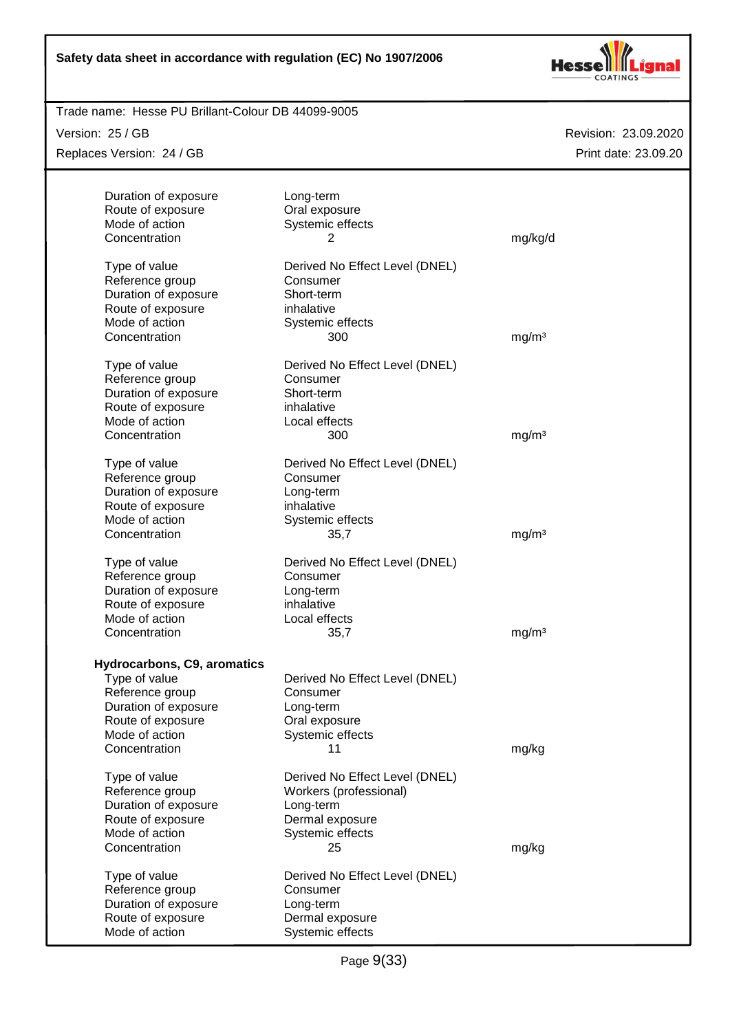

Trade name: Hesse PU Brillant-Colour DB 44099-9005

Version: 25 / GB

Replaces Version: 24 / GB

| Duration of exposure        | Long-term                      |                   |
|-----------------------------|--------------------------------|-------------------|
| Route of exposure           | Oral exposure                  |                   |
| Mode of action              | Systemic effects               |                   |
| Concentration               | 2                              | mg/kg/d           |
|                             |                                |                   |
| Type of value               | Derived No Effect Level (DNEL) |                   |
| Reference group             | Consumer                       |                   |
| Duration of exposure        | Short-term                     |                   |
| Route of exposure           | inhalative                     |                   |
| Mode of action              | Systemic effects               |                   |
| Concentration               | 300                            | mg/m <sup>3</sup> |
|                             |                                |                   |
| Type of value               | Derived No Effect Level (DNEL) |                   |
| Reference group             | Consumer                       |                   |
| Duration of exposure        | Short-term                     |                   |
| Route of exposure           | inhalative                     |                   |
| Mode of action              | Local effects                  |                   |
| Concentration               | 300                            | mg/m <sup>3</sup> |
|                             |                                |                   |
| Type of value               | Derived No Effect Level (DNEL) |                   |
| Reference group             | Consumer                       |                   |
| Duration of exposure        | Long-term                      |                   |
| Route of exposure           | inhalative                     |                   |
| Mode of action              | Systemic effects               |                   |
| Concentration               | 35,7                           | mg/m <sup>3</sup> |
|                             |                                |                   |
| Type of value               | Derived No Effect Level (DNEL) |                   |
| Reference group             | Consumer                       |                   |
| Duration of exposure        | Long-term                      |                   |
| Route of exposure           | inhalative                     |                   |
| Mode of action              | Local effects                  |                   |
| Concentration               | 35,7                           | mg/m <sup>3</sup> |
|                             |                                |                   |
| Hydrocarbons, C9, aromatics |                                |                   |
| Type of value               | Derived No Effect Level (DNEL) |                   |
| Reference group             | Consumer                       |                   |
| Duration of exposure        | Long-term                      |                   |
| Route of exposure           | Oral exposure                  |                   |
| Mode of action              | Systemic effects               |                   |
| Concentration               | 11                             | mg/kg             |
| Type of value               | Derived No Effect Level (DNEL) |                   |
| Reference group             | Workers (professional)         |                   |
| Duration of exposure        | Long-term                      |                   |
| Route of exposure           | Dermal exposure                |                   |
| Mode of action              | Systemic effects               |                   |
| Concentration               | 25                             | mg/kg             |
|                             |                                |                   |
| Type of value               | Derived No Effect Level (DNEL) |                   |
| Reference group             | Consumer                       |                   |
| Duration of exposure        | Long-term                      |                   |
| Route of exposure           | Dermal exposure                |                   |
| Mode of action              | Systemic effects               |                   |
|                             |                                |                   |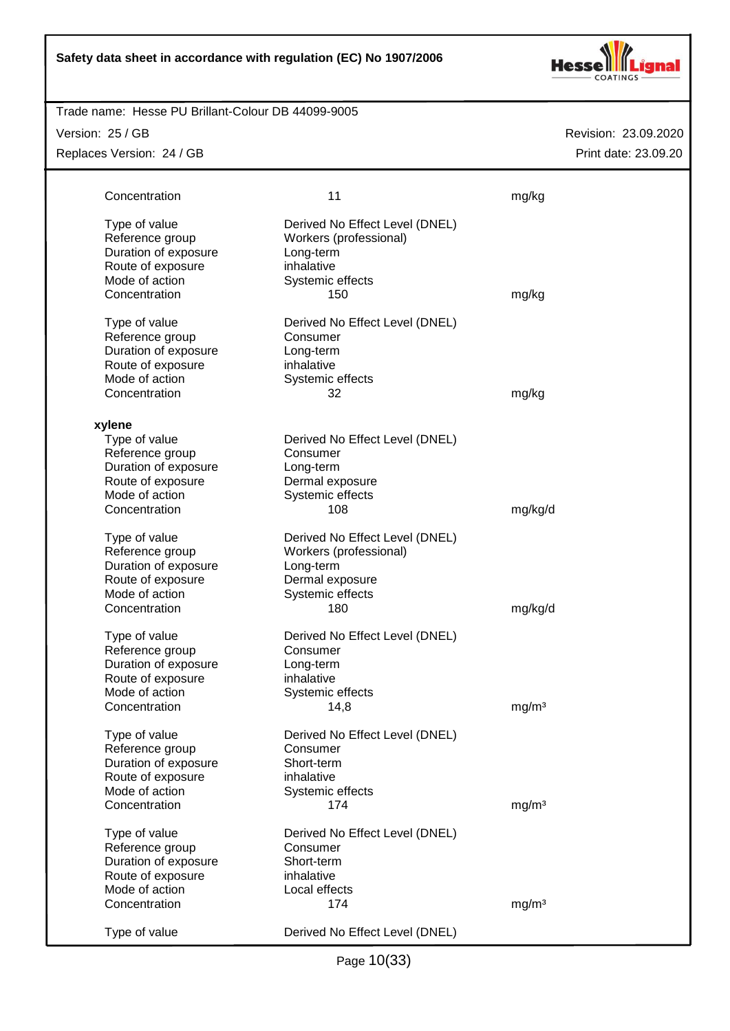

#### Trade name: Hesse PU Brillant-Colour DB 44099-9005

Version: 25 / GB

Replaces Version: 24 / GB

| Concentration                                                                                                    | 11                                                                                                           | mg/kg             |
|------------------------------------------------------------------------------------------------------------------|--------------------------------------------------------------------------------------------------------------|-------------------|
| Type of value<br>Reference group<br>Duration of exposure<br>Route of exposure<br>Mode of action                  | Derived No Effect Level (DNEL)<br>Workers (professional)<br>Long-term<br>inhalative<br>Systemic effects      |                   |
| Concentration                                                                                                    | 150                                                                                                          | mg/kg             |
| Type of value<br>Reference group<br>Duration of exposure<br>Route of exposure<br>Mode of action<br>Concentration | Derived No Effect Level (DNEL)<br>Consumer<br>Long-term<br>inhalative<br>Systemic effects<br>32              | mg/kg             |
|                                                                                                                  |                                                                                                              |                   |
| xylene<br>Type of value<br>Reference group<br>Duration of exposure<br>Route of exposure<br>Mode of action        | Derived No Effect Level (DNEL)<br>Consumer<br>Long-term<br>Dermal exposure<br>Systemic effects               |                   |
| Concentration                                                                                                    | 108                                                                                                          | mg/kg/d           |
| Type of value<br>Reference group<br>Duration of exposure<br>Route of exposure<br>Mode of action                  | Derived No Effect Level (DNEL)<br>Workers (professional)<br>Long-term<br>Dermal exposure<br>Systemic effects |                   |
| Concentration                                                                                                    | 180                                                                                                          | mg/kg/d           |
| Type of value<br>Reference group<br>Duration of exposure<br>Route of exposure<br>Mode of action                  | Derived No Effect Level (DNEL)<br>Consumer<br>Long-term<br>inhalative<br>Systemic effects                    |                   |
| Concentration                                                                                                    | 14,8                                                                                                         | mg/m <sup>3</sup> |
| Type of value<br>Reference group<br>Duration of exposure<br>Route of exposure<br>Mode of action                  | Derived No Effect Level (DNEL)<br>Consumer<br>Short-term<br>inhalative<br>Systemic effects                   |                   |
| Concentration                                                                                                    | 174                                                                                                          | mg/m <sup>3</sup> |
| Type of value<br>Reference group<br>Duration of exposure<br>Route of exposure<br>Mode of action                  | Derived No Effect Level (DNEL)<br>Consumer<br>Short-term<br>inhalative<br>Local effects                      |                   |
| Concentration                                                                                                    | 174                                                                                                          | mg/m <sup>3</sup> |
| Type of value                                                                                                    | Derived No Effect Level (DNEL)                                                                               |                   |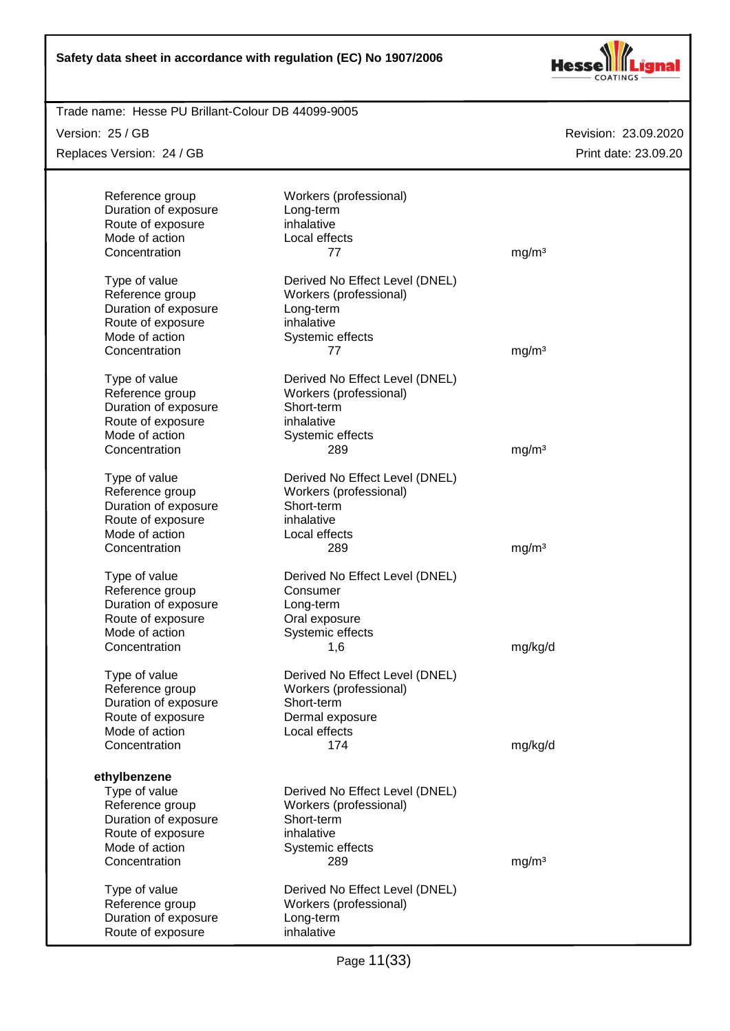

| Trade name: Hesse PU Brillant-Colour DB 44099-9005 |                                |                      |
|----------------------------------------------------|--------------------------------|----------------------|
| Version: 25 / GB                                   |                                | Revision: 23.09.2020 |
| Replaces Version: 24 / GB                          |                                | Print date: 23.09.20 |
|                                                    |                                |                      |
| Reference group                                    | Workers (professional)         |                      |
| Duration of exposure                               | Long-term                      |                      |
| Route of exposure                                  | inhalative                     |                      |
| Mode of action                                     | Local effects                  |                      |
| Concentration                                      | 77                             | mg/m <sup>3</sup>    |
| Type of value                                      | Derived No Effect Level (DNEL) |                      |
| Reference group                                    | Workers (professional)         |                      |
| Duration of exposure                               | Long-term                      |                      |
| Route of exposure                                  | inhalative                     |                      |
| Mode of action                                     | Systemic effects               |                      |
| Concentration                                      | 77                             | mg/m <sup>3</sup>    |
| Type of value                                      | Derived No Effect Level (DNEL) |                      |
| Reference group                                    | Workers (professional)         |                      |
| Duration of exposure                               | Short-term                     |                      |
| Route of exposure                                  | inhalative                     |                      |
| Mode of action                                     | Systemic effects               |                      |
| Concentration                                      | 289                            | mg/m <sup>3</sup>    |
|                                                    |                                |                      |
| Type of value                                      | Derived No Effect Level (DNEL) |                      |
| Reference group                                    | Workers (professional)         |                      |
| Duration of exposure                               | Short-term                     |                      |
| Route of exposure                                  | inhalative                     |                      |
| Mode of action                                     | Local effects                  |                      |
| Concentration                                      | 289                            | mg/m <sup>3</sup>    |
| Type of value                                      | Derived No Effect Level (DNEL) |                      |
| Reference group                                    | Consumer                       |                      |
| Duration of exposure                               | Long-term                      |                      |
| Route of exposure                                  | Oral exposure                  |                      |
| Mode of action                                     | Systemic effects               |                      |
| Concentration                                      | 1,6                            | mg/kg/d              |
| Type of value                                      | Derived No Effect Level (DNEL) |                      |
| Reference group                                    | Workers (professional)         |                      |
| Duration of exposure                               | Short-term                     |                      |
| Route of exposure                                  | Dermal exposure                |                      |
| Mode of action                                     | Local effects                  |                      |
| Concentration                                      | 174                            | mg/kg/d              |
|                                                    |                                |                      |
| ethylbenzene                                       |                                |                      |
| Type of value                                      | Derived No Effect Level (DNEL) |                      |
| Reference group                                    | Workers (professional)         |                      |
| Duration of exposure                               | Short-term<br>inhalative       |                      |
| Route of exposure<br>Mode of action                |                                |                      |
|                                                    | Systemic effects               |                      |
| Concentration                                      | 289                            | mg/m <sup>3</sup>    |
| Type of value                                      | Derived No Effect Level (DNEL) |                      |
| Reference group                                    | Workers (professional)         |                      |
| Duration of exposure                               | Long-term                      |                      |
| Route of exposure                                  | inhalative                     |                      |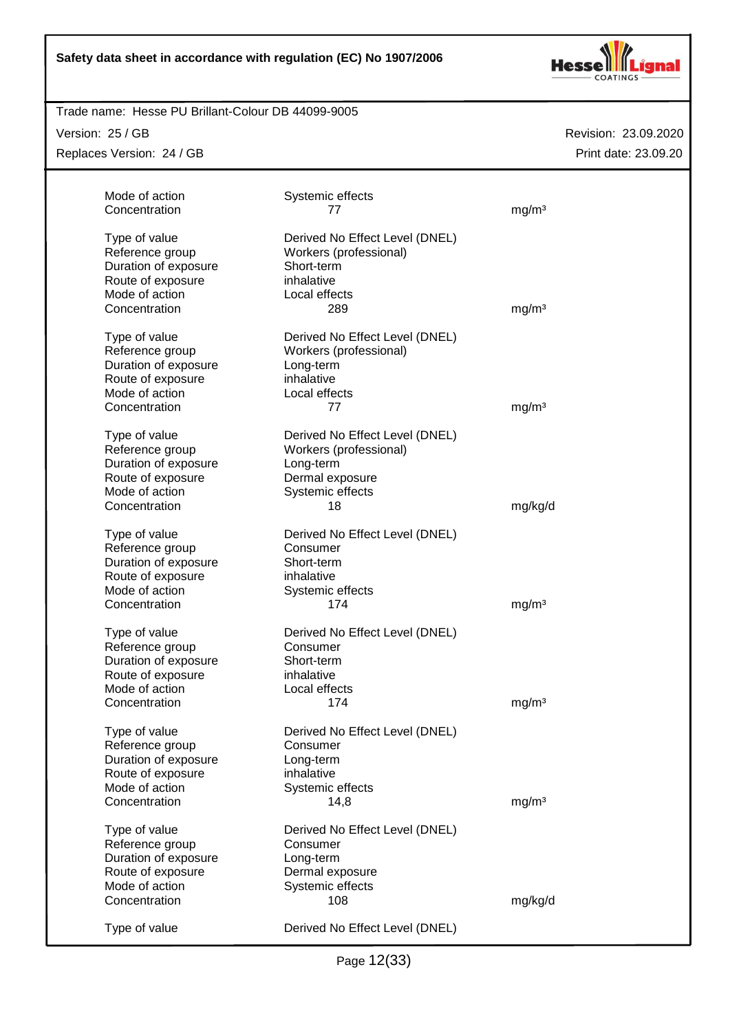

#### Trade name: Hesse PU Brillant-Colour DB 44099-9005

Version: 25 / GB

Replaces Version: 24 / GB

| Mode of action                      | Systemic effects               |                   |
|-------------------------------------|--------------------------------|-------------------|
| Concentration                       | 77                             | mg/m <sup>3</sup> |
|                                     |                                |                   |
| Type of value                       | Derived No Effect Level (DNEL) |                   |
| Reference group                     | Workers (professional)         |                   |
| Duration of exposure                | Short-term                     |                   |
| Route of exposure                   | inhalative                     |                   |
| Mode of action                      | Local effects                  |                   |
| Concentration                       | 289                            | mg/m <sup>3</sup> |
|                                     |                                |                   |
| Type of value                       | Derived No Effect Level (DNEL) |                   |
| Reference group                     | Workers (professional)         |                   |
| Duration of exposure                | Long-term<br>inhalative        |                   |
| Route of exposure<br>Mode of action |                                |                   |
|                                     | Local effects                  |                   |
| Concentration                       | 77                             | mg/m <sup>3</sup> |
| Type of value                       | Derived No Effect Level (DNEL) |                   |
| Reference group                     | Workers (professional)         |                   |
| Duration of exposure                | Long-term                      |                   |
| Route of exposure                   | Dermal exposure                |                   |
| Mode of action                      | Systemic effects               |                   |
| Concentration                       | 18                             | mg/kg/d           |
|                                     |                                |                   |
| Type of value                       | Derived No Effect Level (DNEL) |                   |
| Reference group                     | Consumer                       |                   |
| Duration of exposure                | Short-term                     |                   |
| Route of exposure                   | inhalative                     |                   |
| Mode of action                      | Systemic effects               |                   |
| Concentration                       | 174                            | mg/m <sup>3</sup> |
| Type of value                       | Derived No Effect Level (DNEL) |                   |
| Reference group                     | Consumer                       |                   |
| Duration of exposure                | Short-term                     |                   |
| Route of exposure                   | inhalative                     |                   |
| Mode of action                      | Local effects                  |                   |
| Concentration                       | 174                            | mg/m <sup>3</sup> |
|                                     |                                |                   |
| Type of value                       | Derived No Effect Level (DNEL) |                   |
| Reference group                     | Consumer                       |                   |
| Duration of exposure                | Long-term                      |                   |
| Route of exposure                   | inhalative                     |                   |
| Mode of action                      | Systemic effects               |                   |
| Concentration                       | 14,8                           | mg/m <sup>3</sup> |
| Type of value                       | Derived No Effect Level (DNEL) |                   |
| Reference group                     | Consumer                       |                   |
| Duration of exposure                | Long-term                      |                   |
| Route of exposure                   | Dermal exposure                |                   |
| Mode of action                      | Systemic effects               |                   |
| Concentration                       | 108                            | mg/kg/d           |
|                                     |                                |                   |
| Type of value                       | Derived No Effect Level (DNEL) |                   |
|                                     |                                |                   |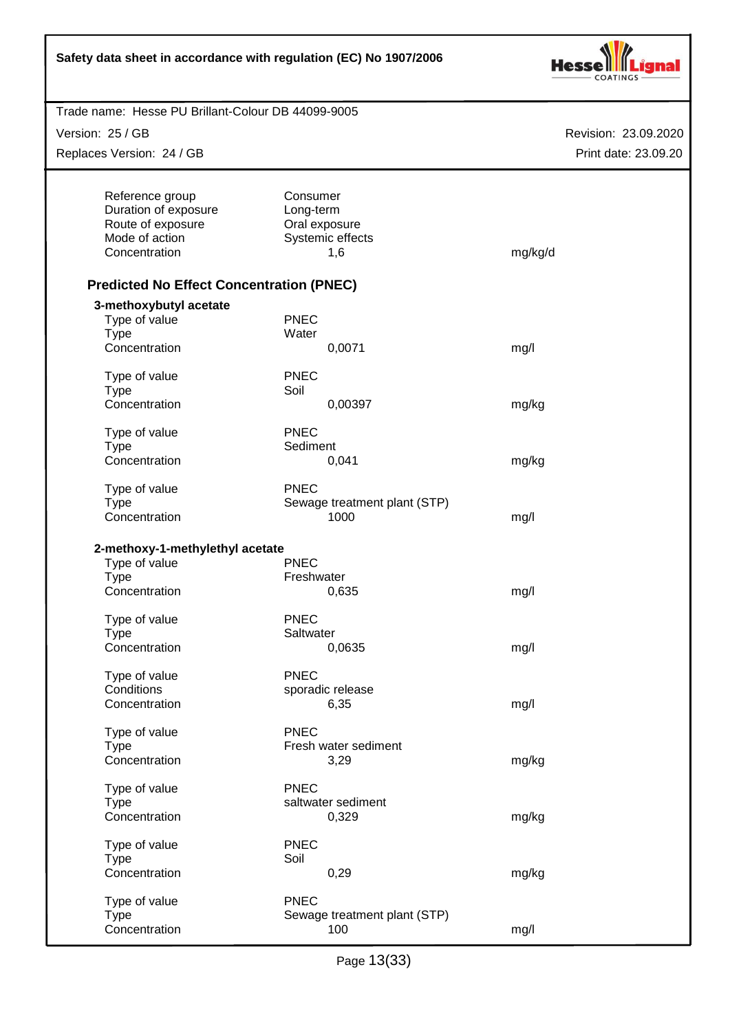| Safety data sheet in accordance with regulation (EC) No 1907/2006                               |                                                                   |                      |
|-------------------------------------------------------------------------------------------------|-------------------------------------------------------------------|----------------------|
| Trade name: Hesse PU Brillant-Colour DB 44099-9005                                              |                                                                   |                      |
| Version: 25 / GB                                                                                |                                                                   | Revision: 23.09.2020 |
| Replaces Version: 24 / GB                                                                       |                                                                   | Print date: 23.09.20 |
| Reference group<br>Duration of exposure<br>Route of exposure<br>Mode of action<br>Concentration | Consumer<br>Long-term<br>Oral exposure<br>Systemic effects<br>1,6 | mg/kg/d              |
| <b>Predicted No Effect Concentration (PNEC)</b>                                                 |                                                                   |                      |
| 3-methoxybutyl acetate<br>Type of value<br><b>Type</b>                                          | <b>PNEC</b><br>Water                                              |                      |
| Concentration                                                                                   | 0,0071                                                            | mg/l                 |
| Type of value<br><b>Type</b>                                                                    | <b>PNEC</b><br>Soil                                               |                      |
| Concentration                                                                                   | 0,00397                                                           | mg/kg                |
| Type of value                                                                                   | <b>PNEC</b>                                                       |                      |
| <b>Type</b><br>Concentration                                                                    | Sediment<br>0,041                                                 |                      |
|                                                                                                 |                                                                   | mg/kg                |
| Type of value<br><b>Type</b>                                                                    | <b>PNEC</b><br>Sewage treatment plant (STP)                       |                      |
| Concentration                                                                                   | 1000                                                              | mg/l                 |
| 2-methoxy-1-methylethyl acetate<br>Type of value<br>Type<br>Concentration                       | <b>PNEC</b><br>Freshwater<br>0,635                                | mg/l                 |
| Type of value                                                                                   | <b>PNEC</b>                                                       |                      |
| <b>Type</b><br>Concentration                                                                    | Saltwater<br>0,0635                                               | mg/l                 |
|                                                                                                 |                                                                   |                      |
| Type of value<br>Conditions                                                                     | <b>PNEC</b><br>sporadic release                                   |                      |
| Concentration                                                                                   | 6,35                                                              | mg/l                 |
| Type of value<br><b>Type</b><br>Concentration                                                   | <b>PNEC</b><br>Fresh water sediment<br>3,29                       | mg/kg                |
| Type of value                                                                                   | <b>PNEC</b>                                                       |                      |
| <b>Type</b><br>Concentration                                                                    | saltwater sediment<br>0,329                                       | mg/kg                |
| Type of value                                                                                   | <b>PNEC</b>                                                       |                      |
| <b>Type</b>                                                                                     | Soil                                                              |                      |
| Concentration                                                                                   | 0,29                                                              | mg/kg                |
| Type of value<br><b>Type</b><br>Concentration                                                   | <b>PNEC</b><br>Sewage treatment plant (STP)<br>100                | mg/l                 |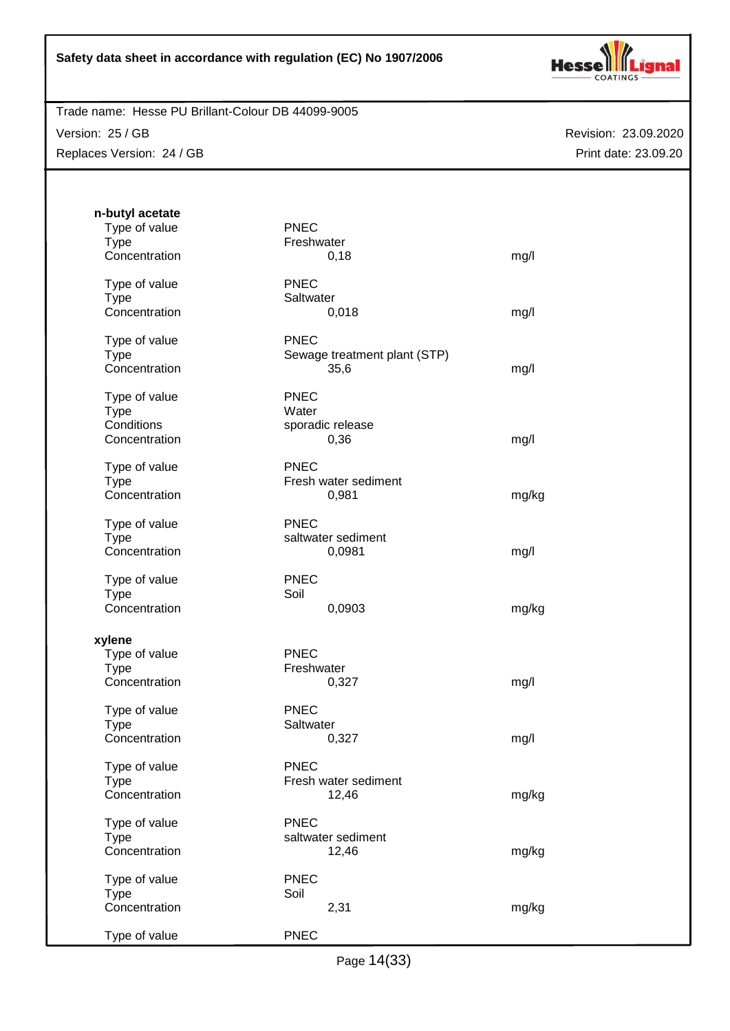

Trade name: Hesse PU Brillant-Colour DB 44099-9005

Version: 25 / GB Replaces Version: 24 / GB

| n-butyl acetate<br>Type of value<br><b>Type</b><br>Concentration | <b>PNEC</b><br>Freshwater<br>0,18                   | mg/l  |
|------------------------------------------------------------------|-----------------------------------------------------|-------|
| Type of value<br><b>Type</b><br>Concentration                    | <b>PNEC</b><br>Saltwater<br>0,018                   | mg/l  |
| Type of value<br><b>Type</b><br>Concentration                    | <b>PNEC</b><br>Sewage treatment plant (STP)<br>35,6 | mg/l  |
| Type of value<br><b>Type</b><br>Conditions<br>Concentration      | <b>PNEC</b><br>Water<br>sporadic release<br>0,36    | mg/l  |
| Type of value<br><b>Type</b><br>Concentration                    | <b>PNEC</b><br>Fresh water sediment<br>0,981        | mg/kg |
| Type of value<br><b>Type</b><br>Concentration                    | <b>PNEC</b><br>saltwater sediment<br>0,0981         | mg/l  |
| Type of value<br><b>Type</b><br>Concentration                    | <b>PNEC</b><br>Soil<br>0,0903                       | mg/kg |
| xylene<br>Type of value<br><b>Type</b><br>Concentration          | <b>PNEC</b><br>Freshwater<br>0,327                  | mg/l  |
| Type of value<br><b>Type</b><br>Concentration                    | <b>PNEC</b><br>Saltwater<br>0,327                   | mg/l  |
| Type of value<br><b>Type</b><br>Concentration                    | <b>PNEC</b><br>Fresh water sediment<br>12,46        | mg/kg |
| Type of value<br><b>Type</b><br>Concentration                    | <b>PNEC</b><br>saltwater sediment<br>12,46          | mg/kg |
| Type of value<br><b>Type</b><br>Concentration                    | <b>PNEC</b><br>Soil<br>2,31                         | mg/kg |
| Type of value                                                    | <b>PNEC</b>                                         |       |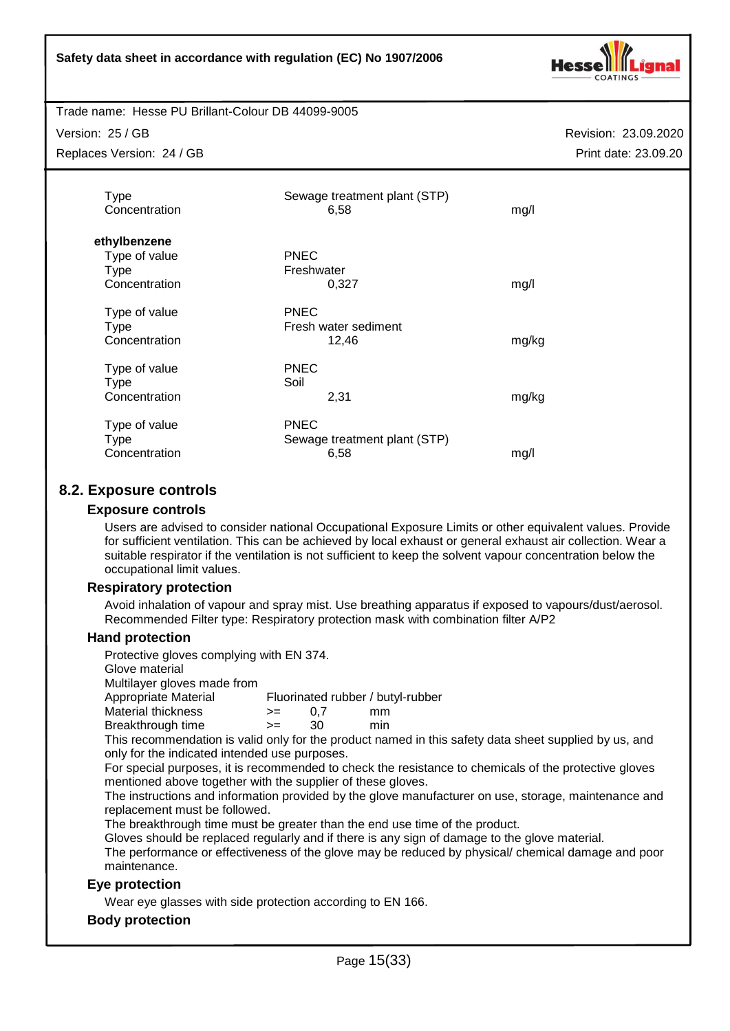

Version: 25 / GB

Replaces Version: 24 / GB

Revision: 23.09.2020 Print date: 23.09.20

| <b>Type</b><br>Concentration                                  | Sewage treatment plant (STP)<br>6,58                | mg/l  |
|---------------------------------------------------------------|-----------------------------------------------------|-------|
| ethylbenzene<br>Type of value<br><b>Type</b><br>Concentration | <b>PNEC</b><br>Freshwater<br>0.327                  | mg/l  |
| Type of value<br>Type<br>Concentration                        | <b>PNEC</b><br>Fresh water sediment<br>12,46        | mg/kg |
| Type of value<br>Type<br>Concentration                        | <b>PNEC</b><br>Soil<br>2,31                         | mg/kg |
| Type of value<br><b>Type</b><br>Concentration                 | <b>PNEC</b><br>Sewage treatment plant (STP)<br>6,58 | mg/l  |

# **8.2. Exposure controls**

## **Exposure controls**

Users are advised to consider national Occupational Exposure Limits or other equivalent values. Provide for sufficient ventilation. This can be achieved by local exhaust or general exhaust air collection. Wear a suitable respirator if the ventilation is not sufficient to keep the solvent vapour concentration below the occupational limit values.

## **Respiratory protection**

Avoid inhalation of vapour and spray mist. Use breathing apparatus if exposed to vapours/dust/aerosol. Recommended Filter type: Respiratory protection mask with combination filter A/P2

## **Hand protection**

Protective gloves complying with EN 374.

Glove material

Multilayer gloves made from

Appropriate Material Fluorinated rubber / butyl-rubber

Material thickness  $\rightarrow$  = 0,7 mm Breakthrough time >= 30 min

This recommendation is valid only for the product named in this safety data sheet supplied by us, and only for the indicated intended use purposes.

For special purposes, it is recommended to check the resistance to chemicals of the protective gloves mentioned above together with the supplier of these gloves.

The instructions and information provided by the glove manufacturer on use, storage, maintenance and replacement must be followed.

The breakthrough time must be greater than the end use time of the product.

Gloves should be replaced regularly and if there is any sign of damage to the glove material.

The performance or effectiveness of the glove may be reduced by physical/ chemical damage and poor maintenance.

## **Eye protection**

Wear eye glasses with side protection according to EN 166.

#### **Body protection**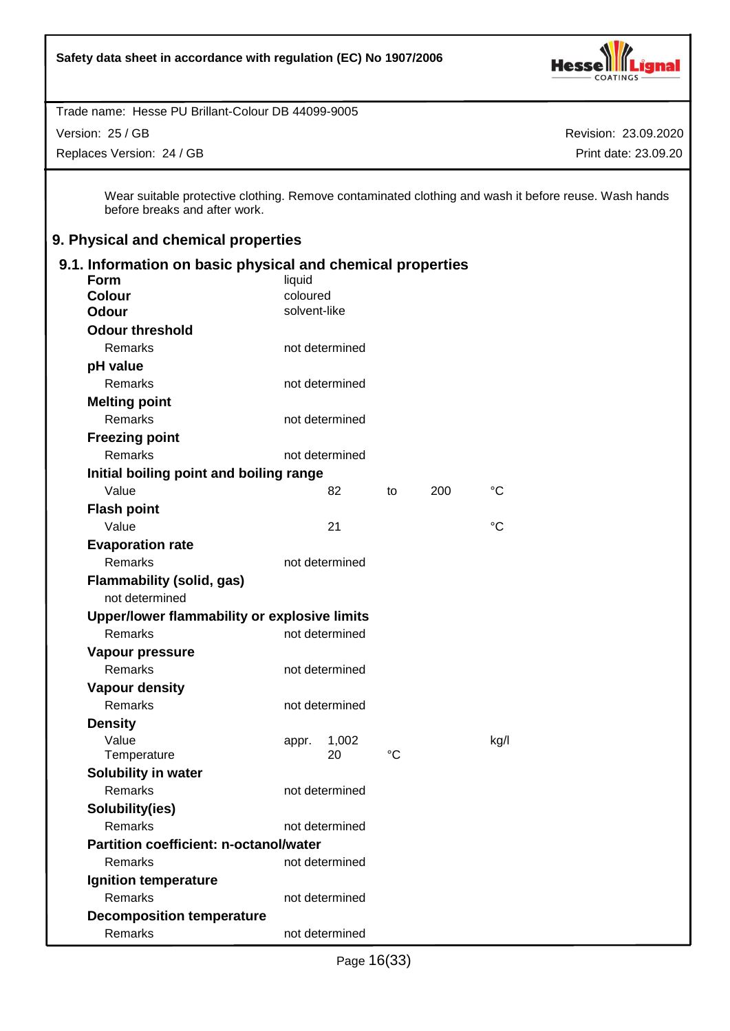

Version: 25 / GB

Replaces Version: 24 / GB

Revision: 23.09.2020 Print date: 23.09.20

Wear suitable protective clothing. Remove contaminated clothing and wash it before reuse. Wash hands before breaks and after work.

# **9. Physical and chemical properties**

| 9.1. Information on basic physical and chemical properties |                |       |     |                 |
|------------------------------------------------------------|----------------|-------|-----|-----------------|
| <b>Form</b>                                                | liquid         |       |     |                 |
| <b>Colour</b>                                              | coloured       |       |     |                 |
| <b>Odour</b>                                               | solvent-like   |       |     |                 |
| <b>Odour threshold</b>                                     |                |       |     |                 |
| Remarks                                                    | not determined |       |     |                 |
| pH value                                                   |                |       |     |                 |
| Remarks                                                    | not determined |       |     |                 |
| <b>Melting point</b>                                       |                |       |     |                 |
| Remarks                                                    | not determined |       |     |                 |
| <b>Freezing point</b>                                      |                |       |     |                 |
| <b>Remarks</b>                                             | not determined |       |     |                 |
| Initial boiling point and boiling range                    |                |       |     |                 |
| Value                                                      | 82             | to    | 200 | °C              |
| <b>Flash point</b>                                         |                |       |     |                 |
| Value                                                      | 21             |       |     | $\rm ^{\circ}C$ |
| <b>Evaporation rate</b>                                    |                |       |     |                 |
| Remarks                                                    | not determined |       |     |                 |
| <b>Flammability (solid, gas)</b>                           |                |       |     |                 |
| not determined                                             |                |       |     |                 |
| Upper/lower flammability or explosive limits               |                |       |     |                 |
| Remarks                                                    | not determined |       |     |                 |
| Vapour pressure                                            |                |       |     |                 |
| Remarks                                                    | not determined |       |     |                 |
| <b>Vapour density</b>                                      |                |       |     |                 |
| <b>Remarks</b>                                             | not determined |       |     |                 |
| <b>Density</b>                                             |                |       |     |                 |
| Value                                                      | appr.          | 1,002 |     | kg/l            |
| Temperature                                                | 20             | °C    |     |                 |
| Solubility in water                                        |                |       |     |                 |
| Remarks                                                    | not determined |       |     |                 |
| Solubility(ies)                                            |                |       |     |                 |
| Remarks                                                    | not determined |       |     |                 |
| <b>Partition coefficient: n-octanol/water</b>              |                |       |     |                 |
| Remarks                                                    | not determined |       |     |                 |
| Ignition temperature                                       |                |       |     |                 |
| Remarks                                                    | not determined |       |     |                 |
| <b>Decomposition temperature</b>                           |                |       |     |                 |
| Remarks                                                    | not determined |       |     |                 |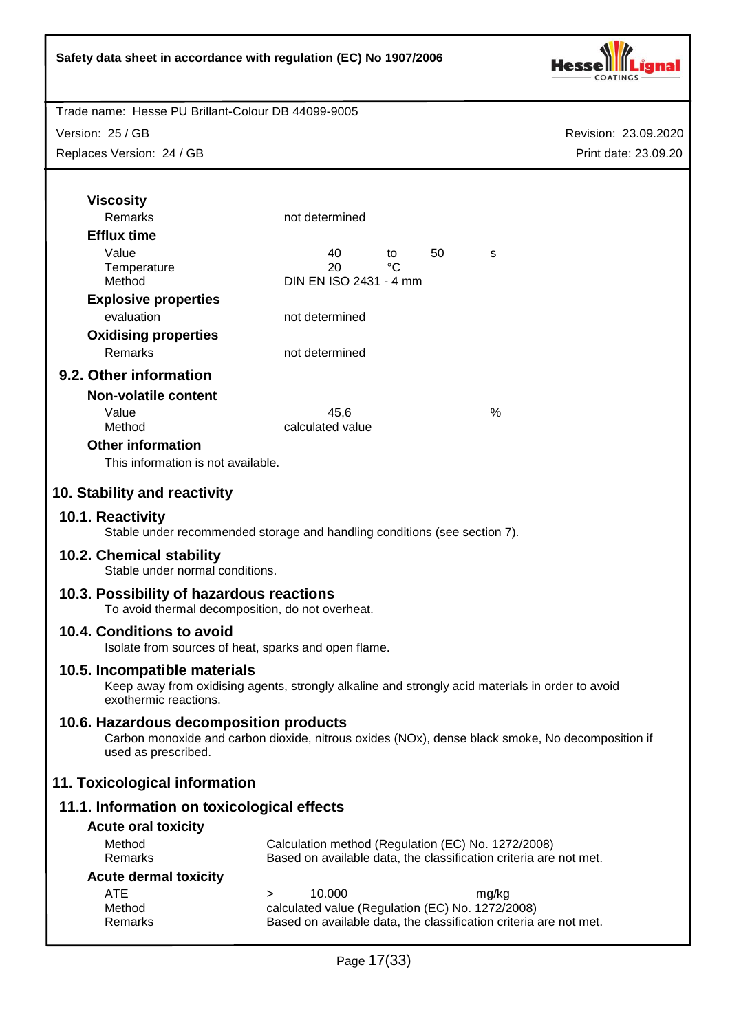

Trade name: Hesse PU Brillant-Colour DB 44099-9005

Version: 25 / GB

Replaces Version: 24 / GB

| <b>Viscosity</b>                                                                                                                                                  |                                                                                                                       |                    |    |       |  |
|-------------------------------------------------------------------------------------------------------------------------------------------------------------------|-----------------------------------------------------------------------------------------------------------------------|--------------------|----|-------|--|
| <b>Remarks</b>                                                                                                                                                    | not determined                                                                                                        |                    |    |       |  |
| <b>Efflux time</b>                                                                                                                                                |                                                                                                                       |                    |    |       |  |
| Value                                                                                                                                                             | 40                                                                                                                    | to<br>$^{\circ}$ C | 50 | S     |  |
| Temperature<br>Method                                                                                                                                             | 20<br>DIN EN ISO 2431 - 4 mm                                                                                          |                    |    |       |  |
| <b>Explosive properties</b>                                                                                                                                       |                                                                                                                       |                    |    |       |  |
| evaluation                                                                                                                                                        | not determined                                                                                                        |                    |    |       |  |
| <b>Oxidising properties</b>                                                                                                                                       |                                                                                                                       |                    |    |       |  |
| Remarks                                                                                                                                                           | not determined                                                                                                        |                    |    |       |  |
| 9.2. Other information                                                                                                                                            |                                                                                                                       |                    |    |       |  |
| <b>Non-volatile content</b>                                                                                                                                       |                                                                                                                       |                    |    |       |  |
| Value                                                                                                                                                             | 45.6                                                                                                                  |                    |    | %     |  |
| Method                                                                                                                                                            | calculated value                                                                                                      |                    |    |       |  |
| <b>Other information</b>                                                                                                                                          |                                                                                                                       |                    |    |       |  |
| This information is not available.                                                                                                                                |                                                                                                                       |                    |    |       |  |
| 10. Stability and reactivity                                                                                                                                      |                                                                                                                       |                    |    |       |  |
|                                                                                                                                                                   |                                                                                                                       |                    |    |       |  |
| 10.1. Reactivity<br>Stable under recommended storage and handling conditions (see section 7).                                                                     |                                                                                                                       |                    |    |       |  |
| 10.2. Chemical stability<br>Stable under normal conditions.                                                                                                       |                                                                                                                       |                    |    |       |  |
| 10.3. Possibility of hazardous reactions<br>To avoid thermal decomposition, do not overheat.                                                                      |                                                                                                                       |                    |    |       |  |
| 10.4. Conditions to avoid<br>Isolate from sources of heat, sparks and open flame.                                                                                 |                                                                                                                       |                    |    |       |  |
| 10.5. Incompatible materials<br>Keep away from oxidising agents, strongly alkaline and strongly acid materials in order to avoid<br>exothermic reactions.         |                                                                                                                       |                    |    |       |  |
| 10.6. Hazardous decomposition products<br>Carbon monoxide and carbon dioxide, nitrous oxides (NOx), dense black smoke, No decomposition if<br>used as prescribed. |                                                                                                                       |                    |    |       |  |
| 11. Toxicological information                                                                                                                                     |                                                                                                                       |                    |    |       |  |
| 11.1. Information on toxicological effects                                                                                                                        |                                                                                                                       |                    |    |       |  |
| <b>Acute oral toxicity</b>                                                                                                                                        |                                                                                                                       |                    |    |       |  |
| Method                                                                                                                                                            | Calculation method (Regulation (EC) No. 1272/2008)                                                                    |                    |    |       |  |
| Remarks                                                                                                                                                           | Based on available data, the classification criteria are not met.                                                     |                    |    |       |  |
| <b>Acute dermal toxicity</b>                                                                                                                                      |                                                                                                                       |                    |    |       |  |
| ATE<br>Method                                                                                                                                                     | 10.000<br>>                                                                                                           |                    |    | mg/kg |  |
| Remarks                                                                                                                                                           | calculated value (Regulation (EC) No. 1272/2008)<br>Based on available data, the classification criteria are not met. |                    |    |       |  |
|                                                                                                                                                                   |                                                                                                                       |                    |    |       |  |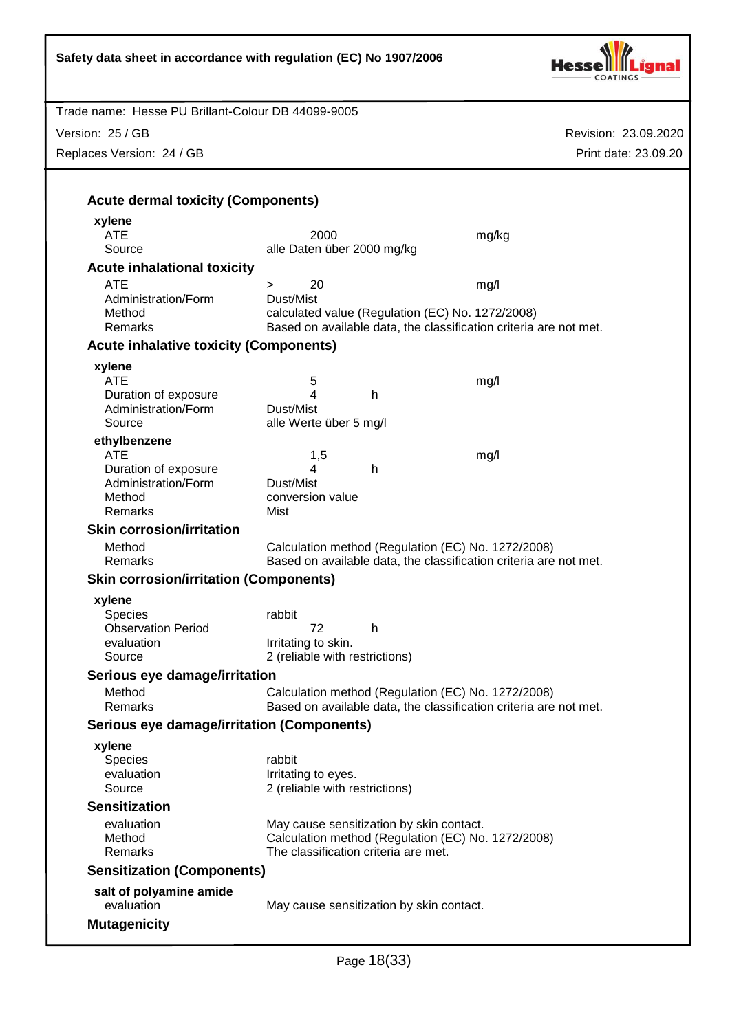| Safety data sheet in accordance with regulation (EC) No 1907/2006 |                                                                                            |                      |
|-------------------------------------------------------------------|--------------------------------------------------------------------------------------------|----------------------|
| Trade name: Hesse PU Brillant-Colour DB 44099-9005                |                                                                                            |                      |
| Version: 25 / GB                                                  |                                                                                            | Revision: 23.09.2020 |
| Replaces Version: 24 / GB                                         |                                                                                            | Print date: 23.09.20 |
|                                                                   |                                                                                            |                      |
|                                                                   |                                                                                            |                      |
| <b>Acute dermal toxicity (Components)</b>                         |                                                                                            |                      |
| xylene<br><b>ATE</b>                                              | 2000                                                                                       | mg/kg                |
| Source                                                            | alle Daten über 2000 mg/kg                                                                 |                      |
| <b>Acute inhalational toxicity</b>                                |                                                                                            |                      |
| <b>ATE</b>                                                        | 20<br>$\geq$                                                                               | mg/l                 |
| Administration/Form                                               | Dust/Mist                                                                                  |                      |
| Method                                                            | calculated value (Regulation (EC) No. 1272/2008)                                           |                      |
| Remarks                                                           | Based on available data, the classification criteria are not met.                          |                      |
| <b>Acute inhalative toxicity (Components)</b>                     |                                                                                            |                      |
| xylene                                                            |                                                                                            |                      |
| <b>ATE</b>                                                        | 5                                                                                          | mg/l                 |
| Duration of exposure                                              | 4<br>h                                                                                     |                      |
| Administration/Form<br>Source                                     | Dust/Mist<br>alle Werte über 5 mg/l                                                        |                      |
| ethylbenzene                                                      |                                                                                            |                      |
| <b>ATE</b>                                                        | 1,5                                                                                        | mg/l                 |
| Duration of exposure                                              | h<br>4                                                                                     |                      |
| Administration/Form                                               | Dust/Mist                                                                                  |                      |
| Method                                                            | conversion value                                                                           |                      |
| Remarks                                                           | Mist                                                                                       |                      |
| <b>Skin corrosion/irritation</b>                                  |                                                                                            |                      |
| Method                                                            | Calculation method (Regulation (EC) No. 1272/2008)                                         |                      |
| Remarks                                                           | Based on available data, the classification criteria are not met.                          |                      |
| <b>Skin corrosion/irritation (Components)</b>                     |                                                                                            |                      |
| xylene                                                            |                                                                                            |                      |
| <b>Species</b><br><b>Observation Period</b>                       | rabbit<br>72<br>h                                                                          |                      |
| evaluation                                                        | Irritating to skin.                                                                        |                      |
| Source                                                            | 2 (reliable with restrictions)                                                             |                      |
| Serious eye damage/irritation                                     |                                                                                            |                      |
| Method                                                            | Calculation method (Regulation (EC) No. 1272/2008)                                         |                      |
| <b>Remarks</b>                                                    | Based on available data, the classification criteria are not met.                          |                      |
| <b>Serious eye damage/irritation (Components)</b>                 |                                                                                            |                      |
| xylene                                                            |                                                                                            |                      |
| <b>Species</b>                                                    | rabbit                                                                                     |                      |
| evaluation                                                        | Irritating to eyes.                                                                        |                      |
| Source                                                            | 2 (reliable with restrictions)                                                             |                      |
| <b>Sensitization</b>                                              |                                                                                            |                      |
| evaluation                                                        | May cause sensitization by skin contact.                                                   |                      |
| Method<br>Remarks                                                 | Calculation method (Regulation (EC) No. 1272/2008)<br>The classification criteria are met. |                      |
| <b>Sensitization (Components)</b>                                 |                                                                                            |                      |
|                                                                   |                                                                                            |                      |
| salt of polyamine amide<br>evaluation                             | May cause sensitization by skin contact.                                                   |                      |
|                                                                   |                                                                                            |                      |
| <b>Mutagenicity</b>                                               |                                                                                            |                      |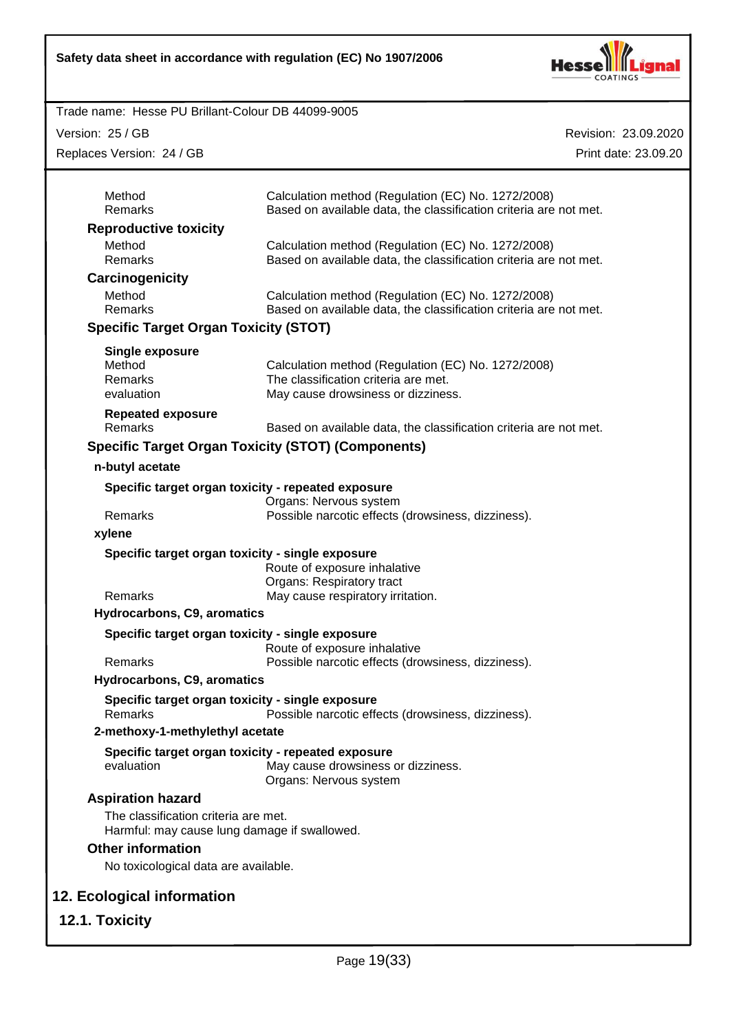

Version: 25 / GB

Replaces Version: 24 / GB

| Method<br>Remarks                                                                    | Calculation method (Regulation (EC) No. 1272/2008)<br>Based on available data, the classification criteria are not met.          |
|--------------------------------------------------------------------------------------|----------------------------------------------------------------------------------------------------------------------------------|
| <b>Reproductive toxicity</b>                                                         |                                                                                                                                  |
| Method<br>Remarks                                                                    | Calculation method (Regulation (EC) No. 1272/2008)<br>Based on available data, the classification criteria are not met.          |
| Carcinogenicity                                                                      |                                                                                                                                  |
| Method<br>Remarks                                                                    | Calculation method (Regulation (EC) No. 1272/2008)<br>Based on available data, the classification criteria are not met.          |
| <b>Specific Target Organ Toxicity (STOT)</b>                                         |                                                                                                                                  |
| Single exposure<br>Method<br>Remarks<br>evaluation                                   | Calculation method (Regulation (EC) No. 1272/2008)<br>The classification criteria are met.<br>May cause drowsiness or dizziness. |
| <b>Repeated exposure</b><br>Remarks                                                  | Based on available data, the classification criteria are not met.                                                                |
|                                                                                      | <b>Specific Target Organ Toxicity (STOT) (Components)</b>                                                                        |
| n-butyl acetate                                                                      |                                                                                                                                  |
| Specific target organ toxicity - repeated exposure                                   | Organs: Nervous system                                                                                                           |
| Remarks                                                                              | Possible narcotic effects (drowsiness, dizziness).                                                                               |
| xylene                                                                               |                                                                                                                                  |
| Specific target organ toxicity - single exposure                                     |                                                                                                                                  |
|                                                                                      | Route of exposure inhalative<br>Organs: Respiratory tract                                                                        |
| Remarks                                                                              | May cause respiratory irritation.                                                                                                |
| Hydrocarbons, C9, aromatics                                                          |                                                                                                                                  |
| Specific target organ toxicity - single exposure                                     | Route of exposure inhalative                                                                                                     |
| Remarks                                                                              | Possible narcotic effects (drowsiness, dizziness).                                                                               |
| Hydrocarbons, C9, aromatics                                                          |                                                                                                                                  |
| Specific target organ toxicity - single exposure<br>Remarks                          | Possible narcotic effects (drowsiness, dizziness).                                                                               |
| 2-methoxy-1-methylethyl acetate                                                      |                                                                                                                                  |
| Specific target organ toxicity - repeated exposure<br>evaluation                     | May cause drowsiness or dizziness.<br>Organs: Nervous system                                                                     |
| <b>Aspiration hazard</b>                                                             |                                                                                                                                  |
| The classification criteria are met.<br>Harmful: may cause lung damage if swallowed. |                                                                                                                                  |
| <b>Other information</b>                                                             |                                                                                                                                  |
| No toxicological data are available.                                                 |                                                                                                                                  |
|                                                                                      |                                                                                                                                  |
| 12. Ecological information                                                           |                                                                                                                                  |
| 12.1. Toxicity                                                                       |                                                                                                                                  |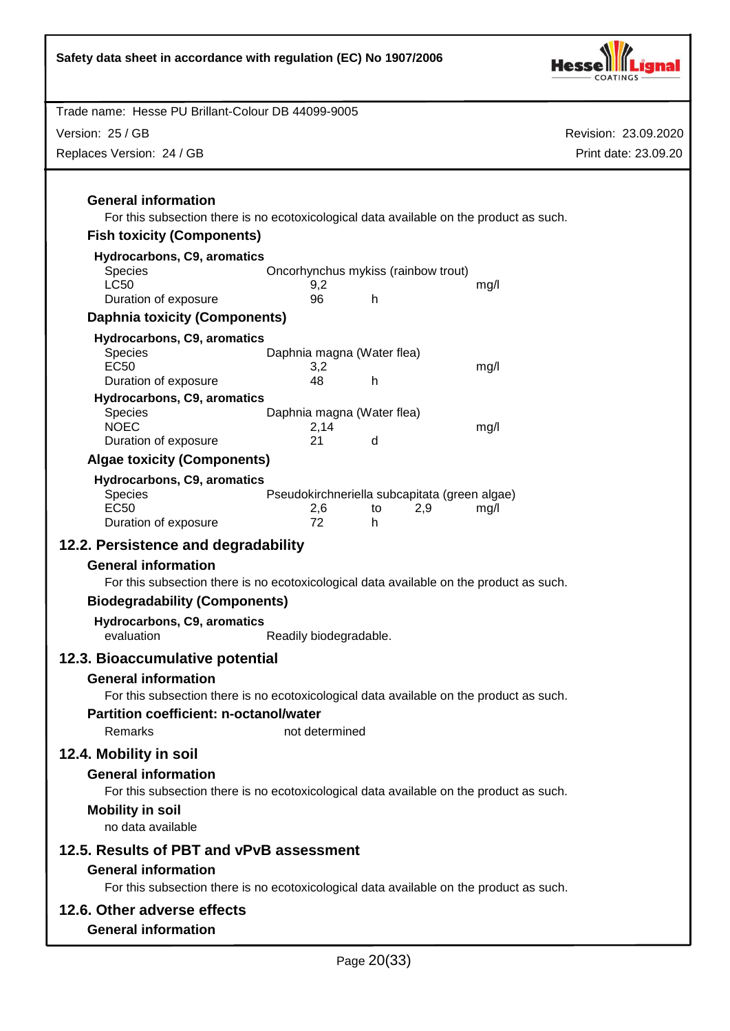| Safety data sheet in accordance with regulation (EC) No 1907/2006                                                                                                                                          |                                                            |             |     |                      |
|------------------------------------------------------------------------------------------------------------------------------------------------------------------------------------------------------------|------------------------------------------------------------|-------------|-----|----------------------|
| Trade name: Hesse PU Brillant-Colour DB 44099-9005                                                                                                                                                         |                                                            |             |     |                      |
| Version: 25 / GB                                                                                                                                                                                           |                                                            |             |     | Revision: 23.09.2020 |
| Replaces Version: 24 / GB                                                                                                                                                                                  |                                                            |             |     | Print date: 23.09.20 |
|                                                                                                                                                                                                            |                                                            |             |     |                      |
| <b>General information</b><br>For this subsection there is no ecotoxicological data available on the product as such.                                                                                      |                                                            |             |     |                      |
| <b>Fish toxicity (Components)</b>                                                                                                                                                                          |                                                            |             |     |                      |
| Hydrocarbons, C9, aromatics<br><b>Species</b>                                                                                                                                                              | Oncorhynchus mykiss (rainbow trout)                        |             |     |                      |
| <b>LC50</b>                                                                                                                                                                                                | 9,2                                                        |             |     | mg/l                 |
| Duration of exposure                                                                                                                                                                                       | 96                                                         | h           |     |                      |
| <b>Daphnia toxicity (Components)</b>                                                                                                                                                                       |                                                            |             |     |                      |
| Hydrocarbons, C9, aromatics<br><b>Species</b><br><b>EC50</b>                                                                                                                                               | Daphnia magna (Water flea)<br>3,2                          |             |     | mg/l                 |
| Duration of exposure                                                                                                                                                                                       | 48                                                         | h           |     |                      |
| Hydrocarbons, C9, aromatics<br><b>Species</b><br><b>NOEC</b>                                                                                                                                               | Daphnia magna (Water flea)<br>2,14                         |             |     | mg/l                 |
| Duration of exposure                                                                                                                                                                                       | 21                                                         | d           |     |                      |
| <b>Algae toxicity (Components)</b>                                                                                                                                                                         |                                                            |             |     |                      |
| Hydrocarbons, C9, aromatics<br><b>Species</b><br><b>EC50</b><br>Duration of exposure                                                                                                                       | Pseudokirchneriella subcapitata (green algae)<br>2,6<br>72 | to<br>h.    | 2,9 | mg/l                 |
| 12.2. Persistence and degradability                                                                                                                                                                        |                                                            |             |     |                      |
| <b>General information</b><br>For this subsection there is no ecotoxicological data available on the product as such.<br><b>Biodegradability (Components)</b><br>Hydrocarbons, C9, aromatics<br>evaluation | Readily biodegradable.                                     |             |     |                      |
|                                                                                                                                                                                                            |                                                            |             |     |                      |
| 12.3. Bioaccumulative potential<br><b>General information</b>                                                                                                                                              |                                                            |             |     |                      |
| For this subsection there is no ecotoxicological data available on the product as such.                                                                                                                    |                                                            |             |     |                      |
| <b>Partition coefficient: n-octanol/water</b><br>Remarks                                                                                                                                                   | not determined                                             |             |     |                      |
| 12.4. Mobility in soil                                                                                                                                                                                     |                                                            |             |     |                      |
| <b>General information</b>                                                                                                                                                                                 |                                                            |             |     |                      |
| For this subsection there is no ecotoxicological data available on the product as such.                                                                                                                    |                                                            |             |     |                      |
| <b>Mobility in soil</b><br>no data available                                                                                                                                                               |                                                            |             |     |                      |
| 12.5. Results of PBT and vPvB assessment                                                                                                                                                                   |                                                            |             |     |                      |
| <b>General information</b><br>For this subsection there is no ecotoxicological data available on the product as such.                                                                                      |                                                            |             |     |                      |
| 12.6. Other adverse effects                                                                                                                                                                                |                                                            |             |     |                      |
| <b>General information</b>                                                                                                                                                                                 |                                                            |             |     |                      |
|                                                                                                                                                                                                            |                                                            | Page 20(33) |     |                      |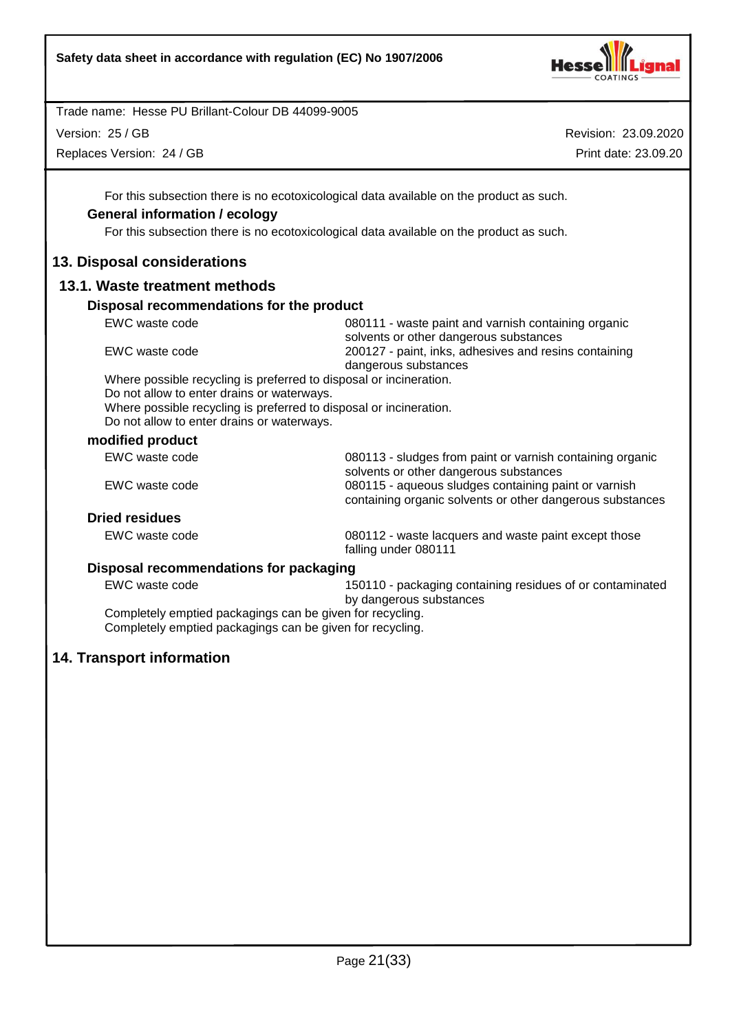

Version: 25 / GB

Replaces Version: 24 / GB

Revision: 23.09.2020 Print date: 23.09.20

For this subsection there is no ecotoxicological data available on the product as such.

# **General information / ecology**

For this subsection there is no ecotoxicological data available on the product as such.

# **13. Disposal considerations**

# **13.1. Waste treatment methods**

#### **Disposal recommendations for the product**

| EWC waste code                                                     | 080111 - waste paint and varnish containing organic<br>solvents or other dangerous substances |
|--------------------------------------------------------------------|-----------------------------------------------------------------------------------------------|
| EWC waste code                                                     | 200127 - paint, inks, adhesives and resins containing                                         |
|                                                                    | dangerous substances                                                                          |
| Where possible recycling is preferred to disposal or incineration. |                                                                                               |
| Do not allow to enter drains or waterways.                         |                                                                                               |
| Where possible recycling is preferred to disposal or incineration. |                                                                                               |
| Do not allow to enter drains or waterways.                         |                                                                                               |

# **modified product**

| EWC waste code        | 080113 - sludges from paint or varnish containing organic<br>solvents or other dangerous substances               |
|-----------------------|-------------------------------------------------------------------------------------------------------------------|
| EWC waste code        | 080115 - aqueous sludges containing paint or varnish<br>containing organic solvents or other dangerous substances |
| <b>Dried residues</b> |                                                                                                                   |

EWC waste code 080112 - waste lacquers and waste paint except those falling under 080111

## **Disposal recommendations for packaging**

EWC waste code 150110 - packaging containing residues of or contaminated by dangerous substances

Completely emptied packagings can be given for recycling. Completely emptied packagings can be given for recycling.

# **14. Transport information**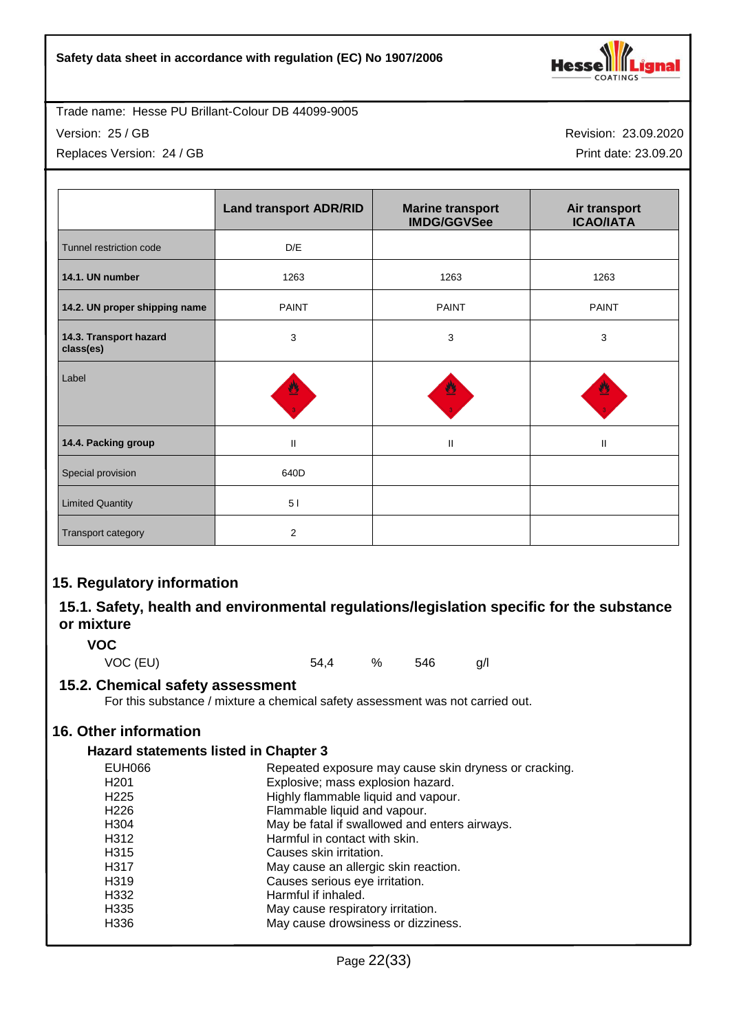

Version: 25 / GB

Replaces Version: 24 / GB

Revision: 23.09.2020 Print date: 23.09.20

|                                     | <b>Land transport ADR/RID</b> | <b>Marine transport</b><br><b>IMDG/GGVSee</b> | Air transport<br><b>ICAO/IATA</b> |
|-------------------------------------|-------------------------------|-----------------------------------------------|-----------------------------------|
| Tunnel restriction code             | D/E                           |                                               |                                   |
| 14.1. UN number                     | 1263                          | 1263                                          | 1263                              |
| 14.2. UN proper shipping name       | <b>PAINT</b>                  | <b>PAINT</b>                                  | <b>PAINT</b>                      |
| 14.3. Transport hazard<br>class(es) | 3                             | 3                                             | 3                                 |
| Label                               | 豐                             |                                               |                                   |
| 14.4. Packing group                 | $\mathbf{II}$                 | Ш                                             | Ш                                 |
| Special provision                   | 640D                          |                                               |                                   |
| <b>Limited Quantity</b>             | 5 <sub>1</sub>                |                                               |                                   |
| Transport category                  | 2                             |                                               |                                   |

# **15. Regulatory information**

# **15.1. Safety, health and environmental regulations/legislation specific for the substance or mixture**

# **VOC**

VOC (EU) 54,4 % 546 g/l

## **15.2. Chemical safety assessment**

For this substance / mixture a chemical safety assessment was not carried out.

# **16. Other information**

## **Hazard statements listed in Chapter 3**

| <b>EUH066</b>    | Repeated exposure may cause skin dryness or cracking. |
|------------------|-------------------------------------------------------|
| H <sub>201</sub> | Explosive; mass explosion hazard.                     |
| H <sub>225</sub> | Highly flammable liquid and vapour.                   |
| H <sub>226</sub> | Flammable liquid and vapour.                          |
| H <sub>304</sub> | May be fatal if swallowed and enters airways.         |
| H312             | Harmful in contact with skin.                         |
| H315             | Causes skin irritation.                               |
| H317             | May cause an allergic skin reaction.                  |
| H319             | Causes serious eye irritation.                        |
| H332             | Harmful if inhaled.                                   |
| H <sub>335</sub> | May cause respiratory irritation.                     |
| H336             | May cause drowsiness or dizziness.                    |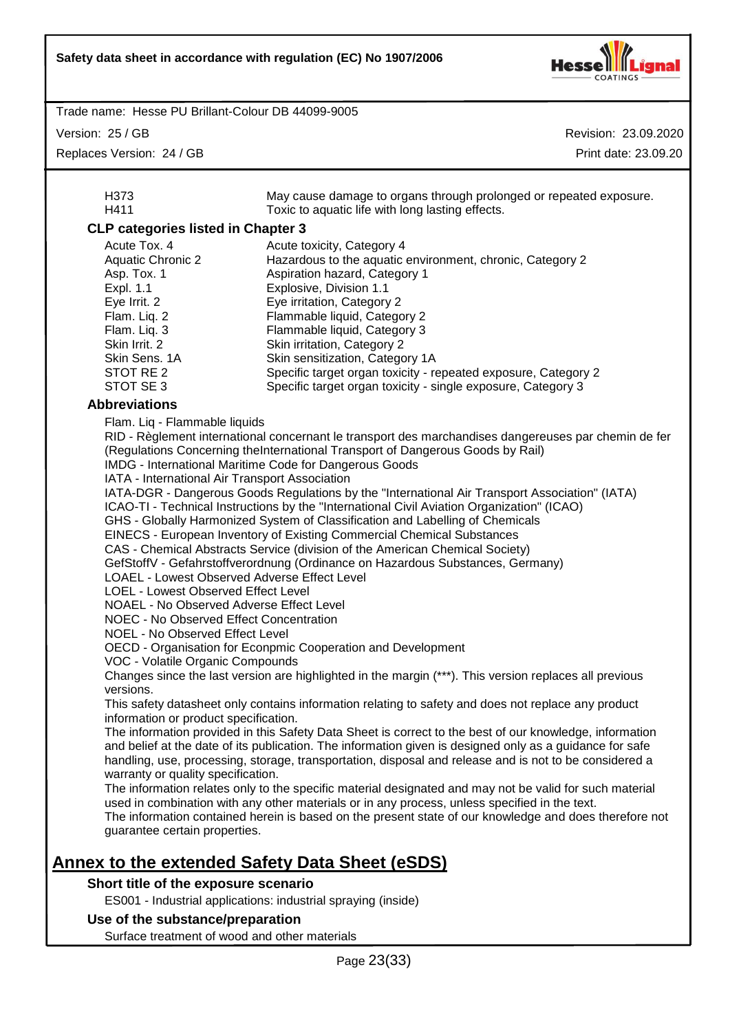

Version: 25 / GB

| V                                                                                                                                                                                                                                                                                                                                                                                                                                                                               | ונטוסווו. בטוסואסוור                                                                                                                                                                                                                                                                                                                                                                                                                                                                                                                                                                                                                                                                                                                                                                                                                                                                                                                                                                                                                                                                                                                                                                                                                                                                                                                                                                                                                                                                                                                                                                                                                                                                                                                                                           |
|---------------------------------------------------------------------------------------------------------------------------------------------------------------------------------------------------------------------------------------------------------------------------------------------------------------------------------------------------------------------------------------------------------------------------------------------------------------------------------|--------------------------------------------------------------------------------------------------------------------------------------------------------------------------------------------------------------------------------------------------------------------------------------------------------------------------------------------------------------------------------------------------------------------------------------------------------------------------------------------------------------------------------------------------------------------------------------------------------------------------------------------------------------------------------------------------------------------------------------------------------------------------------------------------------------------------------------------------------------------------------------------------------------------------------------------------------------------------------------------------------------------------------------------------------------------------------------------------------------------------------------------------------------------------------------------------------------------------------------------------------------------------------------------------------------------------------------------------------------------------------------------------------------------------------------------------------------------------------------------------------------------------------------------------------------------------------------------------------------------------------------------------------------------------------------------------------------------------------------------------------------------------------|
| Replaces Version: 24 / GB                                                                                                                                                                                                                                                                                                                                                                                                                                                       | Print date: 23.09.20                                                                                                                                                                                                                                                                                                                                                                                                                                                                                                                                                                                                                                                                                                                                                                                                                                                                                                                                                                                                                                                                                                                                                                                                                                                                                                                                                                                                                                                                                                                                                                                                                                                                                                                                                           |
| H373                                                                                                                                                                                                                                                                                                                                                                                                                                                                            | May cause damage to organs through prolonged or repeated exposure.                                                                                                                                                                                                                                                                                                                                                                                                                                                                                                                                                                                                                                                                                                                                                                                                                                                                                                                                                                                                                                                                                                                                                                                                                                                                                                                                                                                                                                                                                                                                                                                                                                                                                                             |
| H411                                                                                                                                                                                                                                                                                                                                                                                                                                                                            | Toxic to aquatic life with long lasting effects.                                                                                                                                                                                                                                                                                                                                                                                                                                                                                                                                                                                                                                                                                                                                                                                                                                                                                                                                                                                                                                                                                                                                                                                                                                                                                                                                                                                                                                                                                                                                                                                                                                                                                                                               |
| <b>CLP categories listed in Chapter 3</b>                                                                                                                                                                                                                                                                                                                                                                                                                                       |                                                                                                                                                                                                                                                                                                                                                                                                                                                                                                                                                                                                                                                                                                                                                                                                                                                                                                                                                                                                                                                                                                                                                                                                                                                                                                                                                                                                                                                                                                                                                                                                                                                                                                                                                                                |
| Acute Tox. 4                                                                                                                                                                                                                                                                                                                                                                                                                                                                    | Acute toxicity, Category 4                                                                                                                                                                                                                                                                                                                                                                                                                                                                                                                                                                                                                                                                                                                                                                                                                                                                                                                                                                                                                                                                                                                                                                                                                                                                                                                                                                                                                                                                                                                                                                                                                                                                                                                                                     |
| <b>Aquatic Chronic 2</b>                                                                                                                                                                                                                                                                                                                                                                                                                                                        | Hazardous to the aquatic environment, chronic, Category 2                                                                                                                                                                                                                                                                                                                                                                                                                                                                                                                                                                                                                                                                                                                                                                                                                                                                                                                                                                                                                                                                                                                                                                                                                                                                                                                                                                                                                                                                                                                                                                                                                                                                                                                      |
| Asp. Tox. 1                                                                                                                                                                                                                                                                                                                                                                                                                                                                     | Aspiration hazard, Category 1                                                                                                                                                                                                                                                                                                                                                                                                                                                                                                                                                                                                                                                                                                                                                                                                                                                                                                                                                                                                                                                                                                                                                                                                                                                                                                                                                                                                                                                                                                                                                                                                                                                                                                                                                  |
| Expl. 1.1                                                                                                                                                                                                                                                                                                                                                                                                                                                                       | Explosive, Division 1.1                                                                                                                                                                                                                                                                                                                                                                                                                                                                                                                                                                                                                                                                                                                                                                                                                                                                                                                                                                                                                                                                                                                                                                                                                                                                                                                                                                                                                                                                                                                                                                                                                                                                                                                                                        |
| Eye Irrit. 2<br>Flam. Liq. 2                                                                                                                                                                                                                                                                                                                                                                                                                                                    | Eye irritation, Category 2<br>Flammable liquid, Category 2                                                                                                                                                                                                                                                                                                                                                                                                                                                                                                                                                                                                                                                                                                                                                                                                                                                                                                                                                                                                                                                                                                                                                                                                                                                                                                                                                                                                                                                                                                                                                                                                                                                                                                                     |
| Flam. Liq. 3                                                                                                                                                                                                                                                                                                                                                                                                                                                                    | Flammable liquid, Category 3                                                                                                                                                                                                                                                                                                                                                                                                                                                                                                                                                                                                                                                                                                                                                                                                                                                                                                                                                                                                                                                                                                                                                                                                                                                                                                                                                                                                                                                                                                                                                                                                                                                                                                                                                   |
| Skin Irrit. 2                                                                                                                                                                                                                                                                                                                                                                                                                                                                   | Skin irritation, Category 2                                                                                                                                                                                                                                                                                                                                                                                                                                                                                                                                                                                                                                                                                                                                                                                                                                                                                                                                                                                                                                                                                                                                                                                                                                                                                                                                                                                                                                                                                                                                                                                                                                                                                                                                                    |
| Skin Sens. 1A                                                                                                                                                                                                                                                                                                                                                                                                                                                                   | Skin sensitization, Category 1A                                                                                                                                                                                                                                                                                                                                                                                                                                                                                                                                                                                                                                                                                                                                                                                                                                                                                                                                                                                                                                                                                                                                                                                                                                                                                                                                                                                                                                                                                                                                                                                                                                                                                                                                                |
| STOT RE 2                                                                                                                                                                                                                                                                                                                                                                                                                                                                       | Specific target organ toxicity - repeated exposure, Category 2                                                                                                                                                                                                                                                                                                                                                                                                                                                                                                                                                                                                                                                                                                                                                                                                                                                                                                                                                                                                                                                                                                                                                                                                                                                                                                                                                                                                                                                                                                                                                                                                                                                                                                                 |
| STOT SE 3                                                                                                                                                                                                                                                                                                                                                                                                                                                                       | Specific target organ toxicity - single exposure, Category 3                                                                                                                                                                                                                                                                                                                                                                                                                                                                                                                                                                                                                                                                                                                                                                                                                                                                                                                                                                                                                                                                                                                                                                                                                                                                                                                                                                                                                                                                                                                                                                                                                                                                                                                   |
| <b>Abbreviations</b><br>Flam. Liq - Flammable liquids                                                                                                                                                                                                                                                                                                                                                                                                                           |                                                                                                                                                                                                                                                                                                                                                                                                                                                                                                                                                                                                                                                                                                                                                                                                                                                                                                                                                                                                                                                                                                                                                                                                                                                                                                                                                                                                                                                                                                                                                                                                                                                                                                                                                                                |
| IATA - International Air Transport Association<br>LOAEL - Lowest Observed Adverse Effect Level<br>LOEL - Lowest Observed Effect Level<br>NOAEL - No Observed Adverse Effect Level<br><b>NOEC - No Observed Effect Concentration</b><br>NOEL - No Observed Effect Level<br>VOC - Volatile Organic Compounds<br>versions.<br>information or product specification.<br>warranty or quality specification.<br>guarantee certain properties.<br>Short title of the exposure scenario | RID - Règlement international concernant le transport des marchandises dangereuses par chemin de fer<br>(Regulations Concerning theInternational Transport of Dangerous Goods by Rail)<br>IMDG - International Maritime Code for Dangerous Goods<br>IATA-DGR - Dangerous Goods Regulations by the "International Air Transport Association" (IATA)<br>ICAO-TI - Technical Instructions by the "International Civil Aviation Organization" (ICAO)<br>GHS - Globally Harmonized System of Classification and Labelling of Chemicals<br>EINECS - European Inventory of Existing Commercial Chemical Substances<br>CAS - Chemical Abstracts Service (division of the American Chemical Society)<br>GefStoffV - Gefahrstoffverordnung (Ordinance on Hazardous Substances, Germany)<br>OECD - Organisation for Econpmic Cooperation and Development<br>Changes since the last version are highlighted in the margin (***). This version replaces all previous<br>This safety datasheet only contains information relating to safety and does not replace any product<br>The information provided in this Safety Data Sheet is correct to the best of our knowledge, information<br>and belief at the date of its publication. The information given is designed only as a guidance for safe<br>handling, use, processing, storage, transportation, disposal and release and is not to be considered a<br>The information relates only to the specific material designated and may not be valid for such material<br>used in combination with any other materials or in any process, unless specified in the text.<br>The information contained herein is based on the present state of our knowledge and does therefore not<br><u>Annex to the extended Safety Data Sheet (eSDS)</u> |
|                                                                                                                                                                                                                                                                                                                                                                                                                                                                                 | ES001 - Industrial applications: industrial spraying (inside)                                                                                                                                                                                                                                                                                                                                                                                                                                                                                                                                                                                                                                                                                                                                                                                                                                                                                                                                                                                                                                                                                                                                                                                                                                                                                                                                                                                                                                                                                                                                                                                                                                                                                                                  |
| Use of the substance/preparation                                                                                                                                                                                                                                                                                                                                                                                                                                                |                                                                                                                                                                                                                                                                                                                                                                                                                                                                                                                                                                                                                                                                                                                                                                                                                                                                                                                                                                                                                                                                                                                                                                                                                                                                                                                                                                                                                                                                                                                                                                                                                                                                                                                                                                                |
| Surface treatment of wood and other materials                                                                                                                                                                                                                                                                                                                                                                                                                                   |                                                                                                                                                                                                                                                                                                                                                                                                                                                                                                                                                                                                                                                                                                                                                                                                                                                                                                                                                                                                                                                                                                                                                                                                                                                                                                                                                                                                                                                                                                                                                                                                                                                                                                                                                                                |
|                                                                                                                                                                                                                                                                                                                                                                                                                                                                                 | $P_{200}$ $23(33)$                                                                                                                                                                                                                                                                                                                                                                                                                                                                                                                                                                                                                                                                                                                                                                                                                                                                                                                                                                                                                                                                                                                                                                                                                                                                                                                                                                                                                                                                                                                                                                                                                                                                                                                                                             |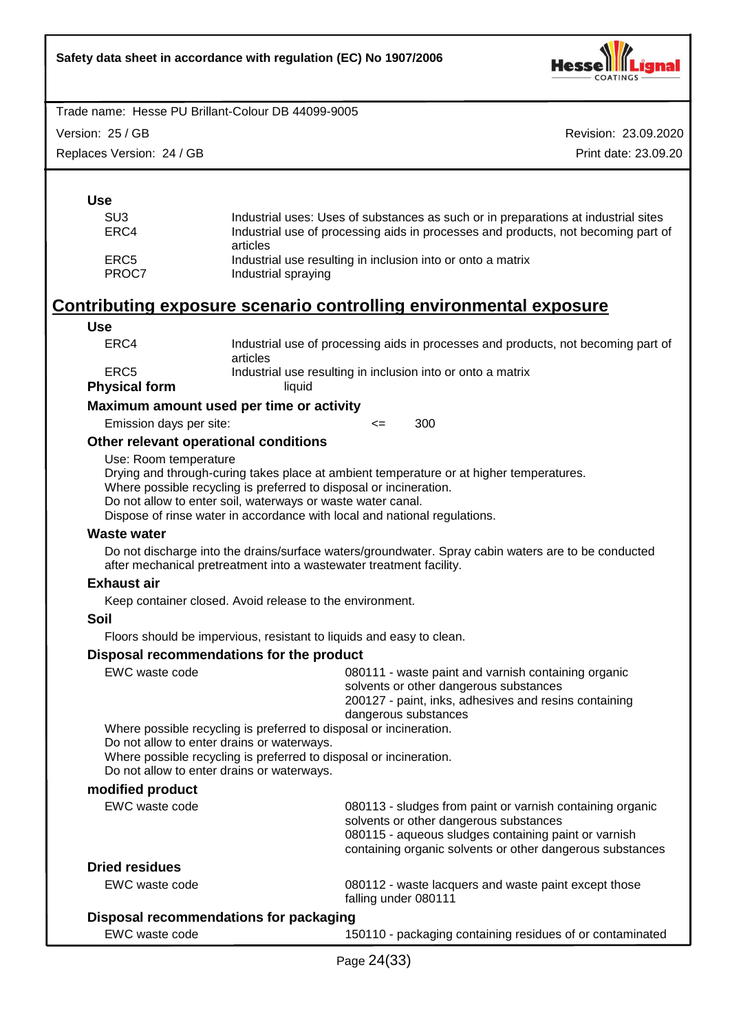

Version: 25 / GB

Replaces Version: 24 / GB

Revision: 23.09.2020 Print date: 23.09.20

| SU3   | Industrial uses: Uses of substances as such or in preparations at industrial sites            |
|-------|-----------------------------------------------------------------------------------------------|
| ERC4  | Industrial use of processing aids in processes and products, not becoming part of<br>articles |
| ERC5  | Industrial use resulting in inclusion into or onto a matrix                                   |
| PROC7 | Industrial spraying                                                                           |

# **Contributing exposure scenario controlling environmental exposure**

#### **Use**

| ERC4                 | Industrial use of processing aids in processes and products, not becoming part of<br>articles |
|----------------------|-----------------------------------------------------------------------------------------------|
| ERC5                 | Industrial use resulting in inclusion into or onto a matrix                                   |
| <b>Physical form</b> | liauid                                                                                        |

**Maximum amount used per time or activity**

Emission days per site:  $\leq$  300

## **Other relevant operational conditions**

Use: Room temperature

Drying and through-curing takes place at ambient temperature or at higher temperatures.

Where possible recycling is preferred to disposal or incineration.

Do not allow to enter soil, waterways or waste water canal.

Dispose of rinse water in accordance with local and national regulations.

#### **Waste water**

Do not discharge into the drains/surface waters/groundwater. Spray cabin waters are to be conducted after mechanical pretreatment into a wastewater treatment facility.

## **Exhaust air**

Keep container closed. Avoid release to the environment.

#### **Soil**

Floors should be impervious, resistant to liquids and easy to clean.

#### **Disposal recommendations for the product**

| EWC waste code                                                                                                                                                                                                                       | 080111 - waste paint and varnish containing organic<br>solvents or other dangerous substances<br>200127 - paint, inks, adhesives and resins containing<br>dangerous substances                                           |  |  |
|--------------------------------------------------------------------------------------------------------------------------------------------------------------------------------------------------------------------------------------|--------------------------------------------------------------------------------------------------------------------------------------------------------------------------------------------------------------------------|--|--|
| Where possible recycling is preferred to disposal or incineration.<br>Do not allow to enter drains or waterways.<br>Where possible recycling is preferred to disposal or incineration.<br>Do not allow to enter drains or waterways. |                                                                                                                                                                                                                          |  |  |
| modified product                                                                                                                                                                                                                     |                                                                                                                                                                                                                          |  |  |
| EWC waste code                                                                                                                                                                                                                       | 080113 - sludges from paint or varnish containing organic<br>solvents or other dangerous substances<br>080115 - aqueous sludges containing paint or varnish<br>containing organic solvents or other dangerous substances |  |  |
| <b>Dried residues</b>                                                                                                                                                                                                                |                                                                                                                                                                                                                          |  |  |
| EWC waste code                                                                                                                                                                                                                       | 080112 - waste lacquers and waste paint except those<br>falling under 080111                                                                                                                                             |  |  |
| Disposal recommendations for packaging                                                                                                                                                                                               |                                                                                                                                                                                                                          |  |  |
| EWC waste code                                                                                                                                                                                                                       | 150110 - packaging containing residues of or contaminated                                                                                                                                                                |  |  |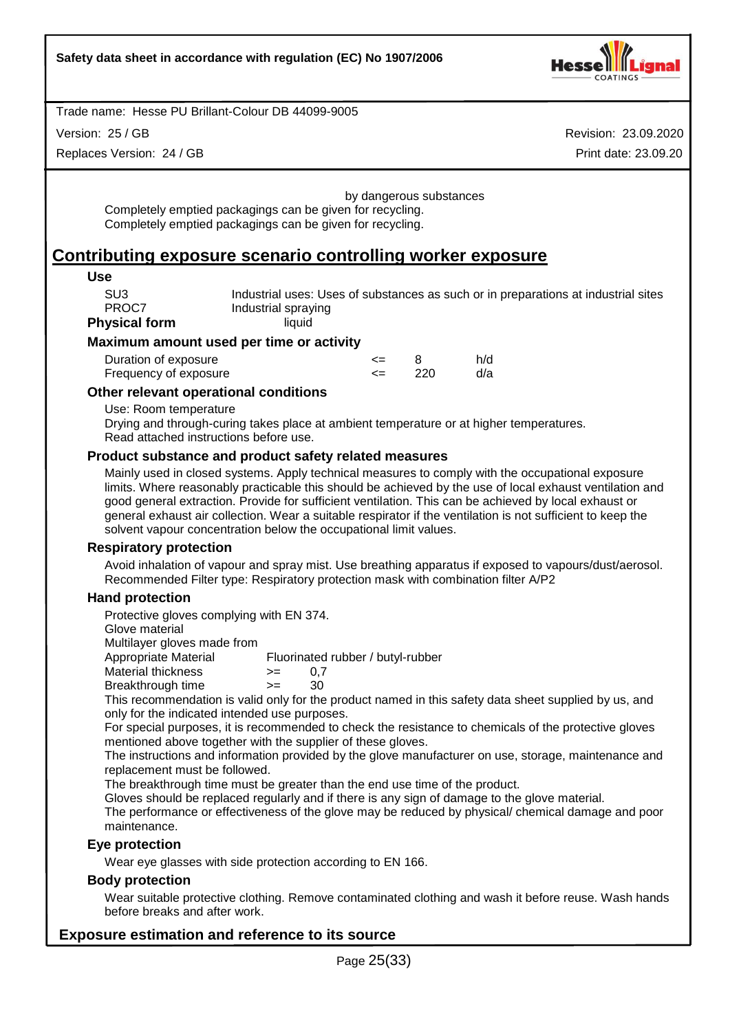

Version: 25 / GB

Replaces Version: 24 / GB

Revision: 23.09.2020 Print date: 23.09.20

by dangerous substances Completely emptied packagings can be given for recycling. Completely emptied packagings can be given for recycling.

# **Contributing exposure scenario controlling worker exposure**

#### **Use**

SU3 **Industrial uses: Uses of substances as such or in preparations at industrial sites**<br> **PROCZ** Industrial spraving Industrial spraying

**Physical form** liquid

# **Maximum amount used per time or activity**

| Duration of exposure  | <= |      | h/d |
|-----------------------|----|------|-----|
| Frequency of exposure |    | -220 | d/a |

#### **Other relevant operational conditions**

Use: Room temperature

Drying and through-curing takes place at ambient temperature or at higher temperatures. Read attached instructions before use.

#### **Product substance and product safety related measures**

Mainly used in closed systems. Apply technical measures to comply with the occupational exposure limits. Where reasonably practicable this should be achieved by the use of local exhaust ventilation and good general extraction. Provide for sufficient ventilation. This can be achieved by local exhaust or general exhaust air collection. Wear a suitable respirator if the ventilation is not sufficient to keep the solvent vapour concentration below the occupational limit values.

#### **Respiratory protection**

Avoid inhalation of vapour and spray mist. Use breathing apparatus if exposed to vapours/dust/aerosol. Recommended Filter type: Respiratory protection mask with combination filter A/P2

#### **Hand protection**

Protective gloves complying with EN 374.

Glove material

Multilayer gloves made from

Appropriate Material Fluorinated rubber / butyl-rubber

- Material thickness  $\ge$  = 0,7
- Breakthrough time >= 30

This recommendation is valid only for the product named in this safety data sheet supplied by us, and only for the indicated intended use purposes.

For special purposes, it is recommended to check the resistance to chemicals of the protective gloves mentioned above together with the supplier of these gloves.

The instructions and information provided by the glove manufacturer on use, storage, maintenance and replacement must be followed.

The breakthrough time must be greater than the end use time of the product.

Gloves should be replaced regularly and if there is any sign of damage to the glove material.

The performance or effectiveness of the glove may be reduced by physical/ chemical damage and poor maintenance.

## **Eye protection**

Wear eye glasses with side protection according to EN 166.

#### **Body protection**

Wear suitable protective clothing. Remove contaminated clothing and wash it before reuse. Wash hands before breaks and after work.

## **Exposure estimation and reference to its source**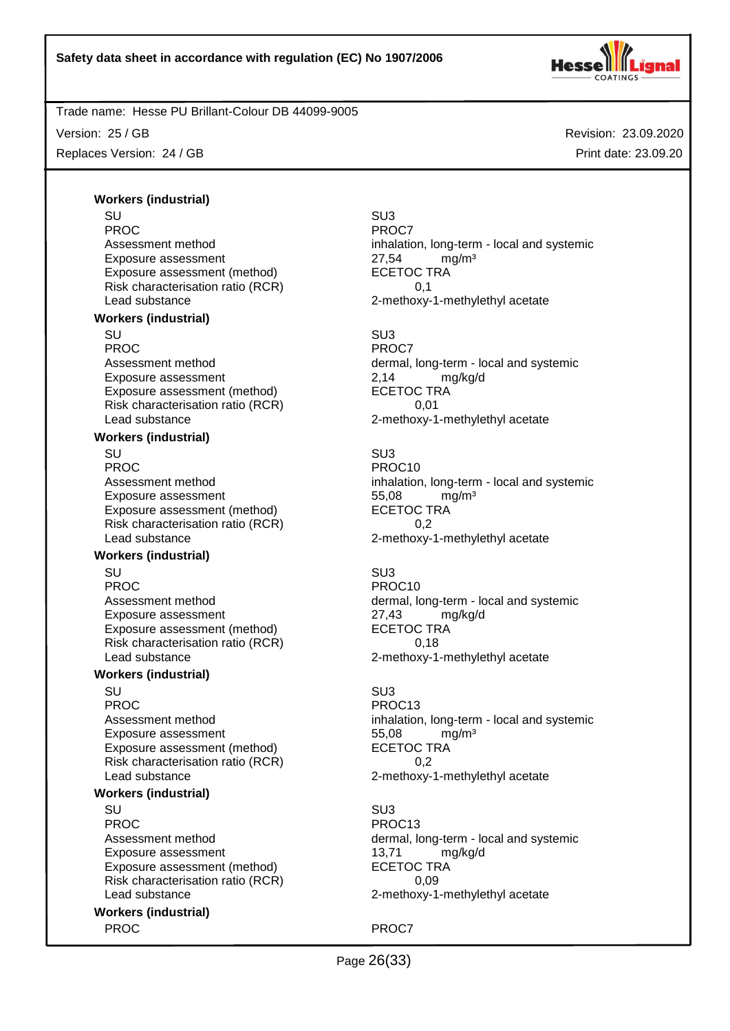

Version: 25 / GB

Replaces Version: 24 / GB

Revision: 23.09.2020 Print date: 23.09.20

# **Workers (industrial)**

SU SU3 PROC PROCT PROCT PROCT Exposure assessment 27,54 mg/m<sup>3</sup> Exposure assessment (method) ECETOC TRA Risk characterisation ratio (RCR) 0,1 Lead substance 2-methoxy-1-methylethyl acetate **Workers (industrial)** SU SU3 PROC<sup>PROC</sup> PROCT Exposure assessment <br>
Exposure assessment (method) ECETOC TRA Exposure assessment (method) Risk characterisation ratio (RCR) 0,01 Lead substance example 2-methoxy-1-methylethyl acetate

#### **Workers (industrial)**

SU SU3 PROC PROCTES PROCTES PROCTES Exposure assessment and the three states of the S5,08 mg/m<sup>3</sup><br>Exposure assessment (method) exposure the SCETOC TRA Exposure assessment (method) Risk characterisation ratio (RCR) 0,2 Lead substance **2-methoxy-1-methylethyl** acetate

#### **Workers (industrial)**

SU SU3 PROC PROCTER PROCTER PROCTER PROCTER PROCTER PROCTER PROCTER PROCTER PROCTER PROCTER PROCTER PROCTER PROCTER PROCTER PROCTER PROCTER PROCTER PROCTER PROCTER PROCTER PROCTER PROCTER PROCTER PROCTER PROCTER PROCTER PROCTER P Exposure assessment 27,43 mg/kg/d Exposure assessment (method) ECETOC TRA Risk characterisation ratio (RCR) 0,18 Lead substance 2-methoxy-1-methylethyl acetate

#### **Workers (industrial)**

SU SU3 PROC PROC13 Exposure assessment and the three states of the S5,08 mg/m<sup>3</sup><br>Exposure assessment (method) exposure the SCETOC TRA Exposure assessment (method) Risk characterisation ratio (RCR) 6.2 Lead substance **2-methoxy-1-methylethyl** acetate

#### **Workers (industrial)**

SU SU3 PROC PROC13 Exposure assessment 13,71 mg/kg/d Exposure assessment (method) ECETOC TRA<br>Risk characterisation ratio (RCR) 60.09 Risk characterisation ratio (RCR) Lead substance 2-methoxy-1-methylethyl acetate

**Workers (industrial)** PROC<sup>P</sup> PROCT

Assessment method inhalation, long-term - local and systemic

Assessment method dermal, long-term - local and systemic

Assessment method inhalation, long-term - local and systemic

Assessment method dermal, long-term - local and systemic

Assessment method inhalation, long-term - local and systemic

Assessment method dermal, long-term - local and systemic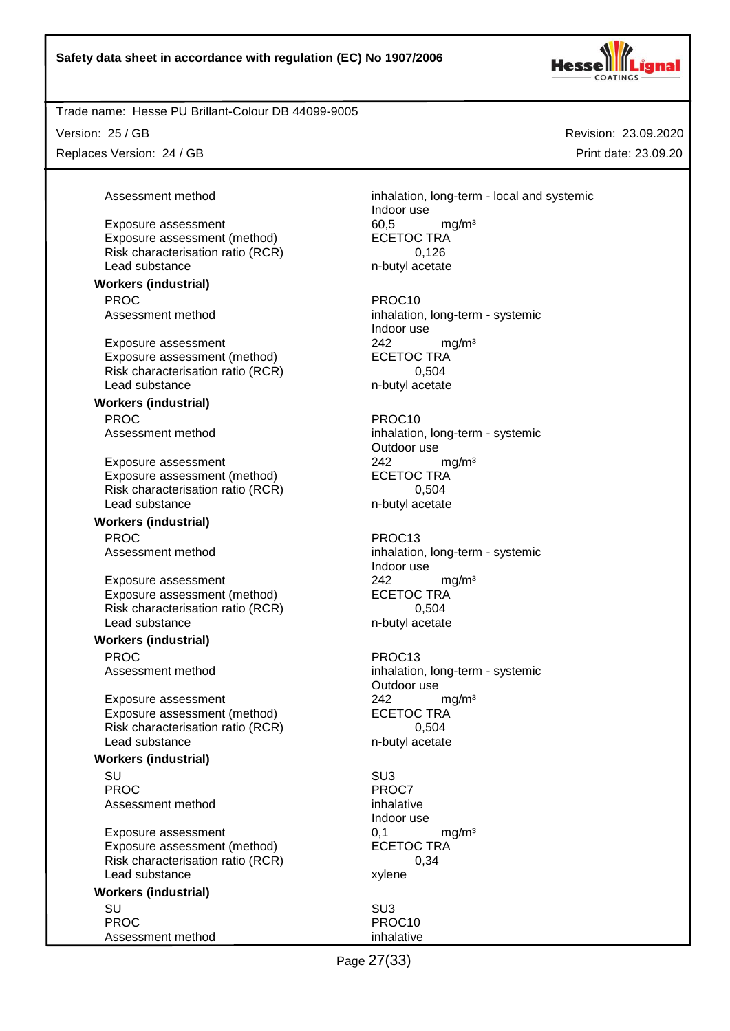

Exposure assessment (method)

Version: 25 / GB

Replaces Version: 24 / GB

**Workers (industrial)**

Assessment method inhalation, long-term - local and systemic Indoor use Exposure assessment 60,5 mg/m<sup>3</sup><br>Exposure assessment (method) ECETOC TRA Risk characterisation ratio (RCR) 0,126 Lead substance n-butyl acetate

PROC PROCTER PROCTER PROCTER PROCTER PROCTER PROCTER PROCTER PROCTER PROCTER PROCTER PROCTER PROCTER PROCTER PROCTER PROCTER PROCTER PROCTER PROCTER PROCTER PROCTER PROCTER PROCTER PROCTER PROCTER PROCTER PROCTER PROCTER P Assessment method inhalation, long-term - systemic Indoor use Exposure assessment  $242$  mg/m<sup>3</sup><br>Exposure assessment (method) ECETOC TRA

Outdoor use

Indoor use

Outdoor use

Indoor use

Page 27(33)

Revision: 23.09.2020 Print date: 23.09.20

Exposure assessment (method) Risk characterisation ratio (RCR) 0,504 Lead substance n-butyl acetate **Workers (industrial)** PROC PROCTES PROCTES Assessment method inhalation, long-term - systemic Exposure assessment <br>
Exposure assessment (method) 
<br>
ECETOC TRA Exposure assessment (method) Risk characterisation ratio (RCR) 6,504 Lead substance n-butyl acetate **Workers (industrial)** PROC PROC13 Assessment method inhalation, long-term - systemic Exposure assessment 242 mg/m<sup>3</sup> Exposure assessment (method) ECETOC TRA Risk characterisation ratio (RCR) 0,504<br>Lead substance m-butyl acetate Lead substance **Workers (industrial)** PROC PROC13 Assessment method inhalation, long-term - systemic Exposure assessment <br>
Exposure assessment (method) 
<br>
ECETOC TRA Exposure assessment (method) Risk characterisation ratio (RCR) 0,504 Lead substance n-butyl acetate **Workers (industrial)** SU SU3 PROC<sup>PROC</sup> PROCT Assessment method inhalative Exposure assessment 0,1 mg/m<sup>3</sup> Exposure assessment (method) ECETOC TRA Risk characterisation ratio (RCR) 0,34 Lead substance xylene **Workers (industrial)** SU SU3 PROC PROCTER PROCTER PROCTER PROCTER PROCTER PROCTER PROCTER PROCTER PROCTER PROCTER PROCTER PROCTER PROCTER PROCTER PROCTER PROCTER PROCTER PROCTER PROCTER PROCTER PROCTER PROCTER PROCTER PROCTER PROCTER PROCTER PROCTER P Assessment method inhalative inhalative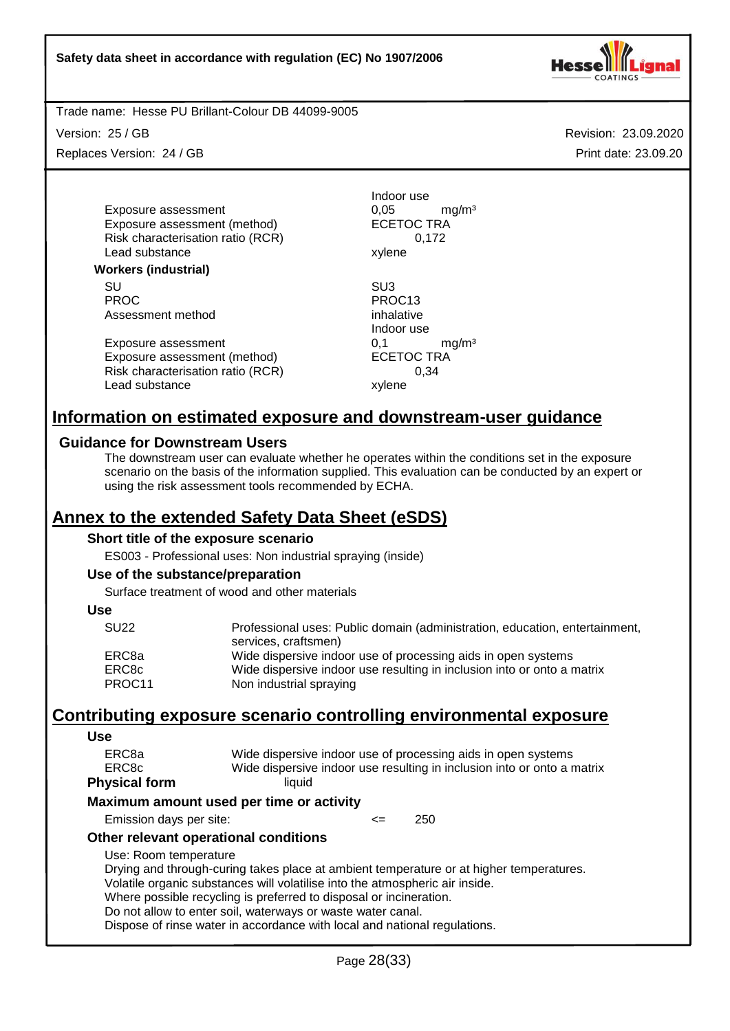

Trade name: Hesse PU Brillant-Colour DB 44099-9005

Version: 25 / GB

Replaces Version: 24 / GB

Revision: 23.09.2020 Print date: 23.09.20

Exposure assessment  $0,05$  mg/m<sup>3</sup><br>Exposure assessment (method) ECETOC TRA Exposure assessment (method) Risk characterisation ratio (RCR) 0,172 Lead substance xylene

#### **Workers (industrial)**

SU SU3 PROC PROC13<br>Assessment method by the property of the property of the property of the property of the property of the PROC13 Assessment method

Exposure assessment  $0,1$  mg/m<sup>3</sup><br>Exposure assessment (method) ECETOC TRA Exposure assessment (method) Risk characterisation ratio (RCR) 0,34 Lead substance xylene

Indoor use

Indoor use

# **Information on estimated exposure and downstream-user guidance**

## **Guidance for Downstream Users**

The downstream user can evaluate whether he operates within the conditions set in the exposure scenario on the basis of the information supplied. This evaluation can be conducted by an expert or using the risk assessment tools recommended by ECHA.

# **Annex to the extended Safety Data Sheet (eSDS)**

## **Short title of the exposure scenario**

ES003 - Professional uses: Non industrial spraying (inside)

#### **Use of the substance/preparation**

Surface treatment of wood and other materials

# **Use**

| Professional uses: Public domain (administration, education, entertainment, |
|-----------------------------------------------------------------------------|
| services, craftsmen)                                                        |
| Wide dispersive indoor use of processing aids in open systems               |
| Wide dispersive indoor use resulting in inclusion into or onto a matrix     |
| Non industrial spraying                                                     |
|                                                                             |

# **Contributing exposure scenario controlling environmental exposure**

| Use                     |                                                                              |        |  |                                                                                         |
|-------------------------|------------------------------------------------------------------------------|--------|--|-----------------------------------------------------------------------------------------|
| ERC8a                   | Wide dispersive indoor use of processing aids in open systems                |        |  |                                                                                         |
| ERC <sub>8</sub> c      |                                                                              |        |  | Wide dispersive indoor use resulting in inclusion into or onto a matrix                 |
| <b>Physical form</b>    | liquid                                                                       |        |  |                                                                                         |
|                         | Maximum amount used per time or activity                                     |        |  |                                                                                         |
| Emission days per site: |                                                                              | $\leq$ |  | 250                                                                                     |
|                         | Other relevant operational conditions                                        |        |  |                                                                                         |
| Use: Room temperature   |                                                                              |        |  |                                                                                         |
|                         |                                                                              |        |  | Drying and through-curing takes place at ambient temperature or at higher temperatures. |
|                         | Volatile organic substances will volatilise into the atmospheric air inside. |        |  |                                                                                         |
|                         | Where possible recycling is preferred to disposal or incineration.           |        |  |                                                                                         |
|                         | Do not allow to enter soil, waterways or waste water canal.                  |        |  |                                                                                         |
|                         | Dispose of rinse water in accordance with local and national regulations.    |        |  |                                                                                         |
|                         |                                                                              |        |  |                                                                                         |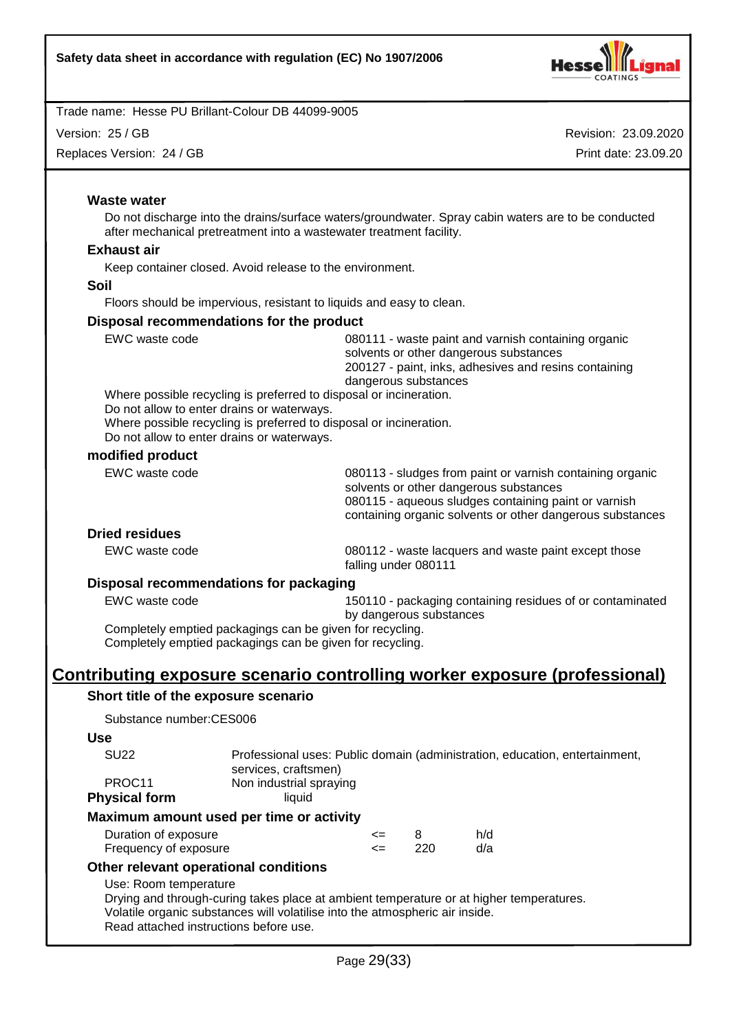

Version: 25 / GB

Replaces Version: 24 / GB

Revision: 23.09.2020 Print date: 23.09.20

## **Waste water**

Do not discharge into the drains/surface waters/groundwater. Spray cabin waters are to be conducted after mechanical pretreatment into a wastewater treatment facility.

#### **Exhaust air**

Keep container closed. Avoid release to the environment.

**Soil**

Floors should be impervious, resistant to liquids and easy to clean.

#### **Disposal recommendations for the product**

| EWC waste code                             | 080111 - waste paint and varnish containing organic<br>solvents or other dangerous substances<br>200127 - paint, inks, adhesives and resins containing<br>dangerous substances |
|--------------------------------------------|--------------------------------------------------------------------------------------------------------------------------------------------------------------------------------|
|                                            | Where possible recycling is preferred to disposal or incineration.                                                                                                             |
| Do not allow to enter drains or waterways. |                                                                                                                                                                                |
|                                            | Where possible recycling is preferred to disposal or incineration.                                                                                                             |
| Do not allow to enter drains or waterways. |                                                                                                                                                                                |
| modified product                           |                                                                                                                                                                                |
| EWC waste code                             | 080113 - sludges from paint or varnish containing organic<br>solvents or other dangerous substances<br>080115 - aqueous sludges containing paint or varnish                    |

## **Dried residues**

EWC waste code 080112 - waste lacquers and waste paint except those falling under 080111

containing organic solvents or other dangerous substances

#### **Disposal recommendations for packaging**

EWC waste code 150110 - packaging containing residues of or contaminated by dangerous substances

Completely emptied packagings can be given for recycling. Completely emptied packagings can be given for recycling.

# **Contributing exposure scenario controlling worker exposure (professional)**

#### **Short title of the exposure scenario**

Substance number:CES006

#### **Use**

| SU <sub>22</sub>     | Professional uses: Public domain (administration, education, entertainment, |
|----------------------|-----------------------------------------------------------------------------|
|                      | services, craftsmen)                                                        |
| PROC <sub>11</sub>   | Non industrial spraying                                                     |
| <b>Physical form</b> | liauid                                                                      |

#### **Maximum amount used per time or activity**

| Duration of exposure  | <= |     | h/d |
|-----------------------|----|-----|-----|
| Frequency of exposure | <= | 220 | d/a |

## **Other relevant operational conditions**

#### Use: Room temperature

Drying and through-curing takes place at ambient temperature or at higher temperatures. Volatile organic substances will volatilise into the atmospheric air inside. Read attached instructions before use.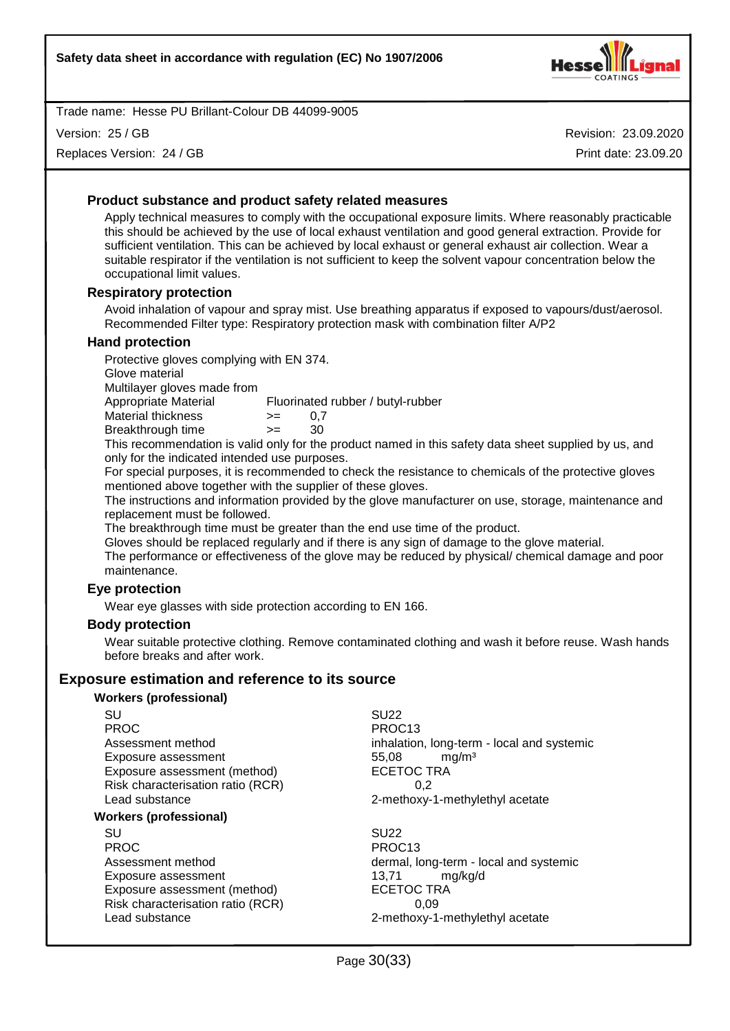

Version: 25 / GB

Replaces Version: 24 / GB

Revision: 23.09.2020 Print date: 23.09.20

# **Product substance and product safety related measures**

Apply technical measures to comply with the occupational exposure limits. Where reasonably practicable this should be achieved by the use of local exhaust ventilation and good general extraction. Provide for sufficient ventilation. This can be achieved by local exhaust or general exhaust air collection. Wear a suitable respirator if the ventilation is not sufficient to keep the solvent vapour concentration below the occupational limit values.

#### **Respiratory protection**

Avoid inhalation of vapour and spray mist. Use breathing apparatus if exposed to vapours/dust/aerosol. Recommended Filter type: Respiratory protection mask with combination filter A/P2

#### **Hand protection**

Protective gloves complying with EN 374.

Glove material

Multilayer gloves made from

Appropriate Material Fluorinated rubber / butyl-rubber

|  | Material thickness | 0.7 |
|--|--------------------|-----|
|  |                    |     |

Breakthrough time >= 30

This recommendation is valid only for the product named in this safety data sheet supplied by us, and only for the indicated intended use purposes.

For special purposes, it is recommended to check the resistance to chemicals of the protective gloves mentioned above together with the supplier of these gloves.

The instructions and information provided by the glove manufacturer on use, storage, maintenance and replacement must be followed.

The breakthrough time must be greater than the end use time of the product.

Gloves should be replaced regularly and if there is any sign of damage to the glove material.

The performance or effectiveness of the glove may be reduced by physical/ chemical damage and poor maintenance.

## **Eye protection**

Wear eye glasses with side protection according to EN 166.

#### **Body protection**

Wear suitable protective clothing. Remove contaminated clothing and wash it before reuse. Wash hands before breaks and after work.

# **Exposure estimation and reference to its source**

#### **Workers (professional)**

SU SU22 PROC PROC13 Exposure assessment 65,08 mg/m<sup>3</sup> Exposure assessment (method) ECETOC TRA Risk characterisation ratio (RCR) 0,2

#### **Workers (professional)**

SU SU22 PROC PROC13 Exposure assessment 13,71 mg/kg/d Exposure assessment (method) ECETOC TRA Risk characterisation ratio (RCR) 0,09 Lead substance **2-methoxy-1-methylethyl** acetate

Assessment method inhalation, long-term - local and systemic Lead substance 2-methoxy-1-methylethyl acetate

Assessment method dermal, long-term - local and systemic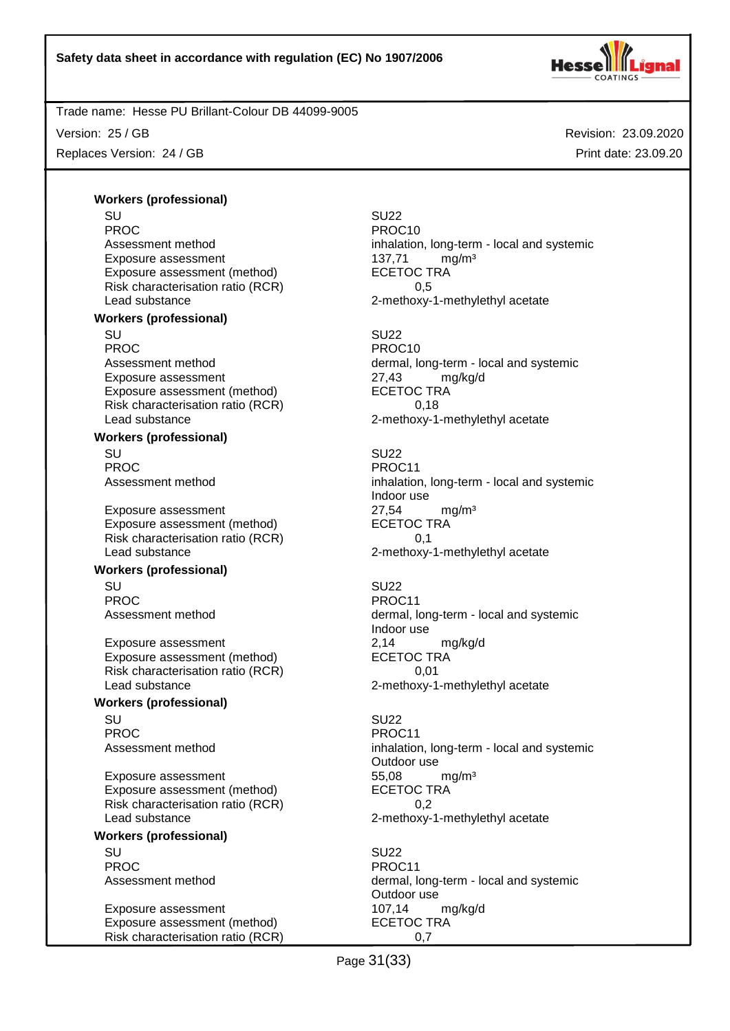

Version: 25 / GB

Replaces Version: 24 / GB

Revision: 23.09.2020 Print date: 23.09.20

# **Workers (professional)**

SU SU22 PROC PROCTES PROCTES Exposure assessment 137,71 mg/m<sup>3</sup> Exposure assessment (method) ECETOC TRA Risk characterisation ratio (RCR) 0,5 Lead substance 2-methoxy-1-methylethyl acetate **Workers (professional)** SU SU22 PROC PROCTES PROCTES PROCTES Exposure assessment <br>
Exposure assessment (method) 
<br>
ECETOC TRA Exposure assessment (method) Risk characterisation ratio (RCR) 6,18

#### **Workers (professional)**

SU SU22 PROC PROCTES PROCTES PROCTES

Exposure assessment 27,54 mg/m<sup>3</sup> Exposure assessment (method) ECETOC TRA Risk characterisation ratio (RCR) 0,1 Lead substance **2-methoxy-1-methylethyl acetate** 2-methoxy-1-methylethyl acetate

#### **Workers (professional)**

SU SU22 PROC PROCTER PROCTER PROCTER PROCTER PROCTER PROCTER PROCTER PROCTER PROCTER PROCTER PROCTER PROCTER PROCTER PROCTER PROCTER PROCTER PROCTER PROCTER PROCTER PROCTER PROCTER PROCTER PROCTER PROCTER PROCTER PROCTER PROCTER P

Exposure assessment 2,14 mg/kg/d Exposure assessment (method) Risk characterisation ratio (RCR) 0,01 Lead substance **2-methoxy-1-methylethyl** acetate

# **Workers (professional)**

SU SU22 PROC PROCTER PROCTER PROCTER PROCTER PROCTER PROCTER PROCTER PROCTER PROCTER PROCTER PROCTER PROCTER PROCTER PROCTER PROCTER PROCTER PROCTER PROCTER PROCTER PROCTER PROCTER PROCTER PROCTER PROCTER PROCTER PROCTER PROCTER P

Exposure assessment and the temporal states of the states of the states of the states of the states of the sta<br>
ECETOC TRA Exposure assessment (method) Risk characterisation ratio (RCR) 0,2 Lead substance **2-methoxy-1-methylethyl** acetate

## **Workers (professional)**

SU SU22 PROC PROCTES PROCTES PROCTES

Exposure assessment 107,14 mg/kg/d Exposure assessment (method) ECETOC TRA Risk characterisation ratio (RCR) 0,7

Assessment method inhalation, long-term - local and systemic Assessment method dermal, long-term - local and systemic

Lead substance example 2-methoxy-1-methylethyl acetate

Assessment method inhalation, long-term - local and systemic Indoor use

Assessment method dermal, long-term - local and systemic Indoor use

Assessment method inhalation, long-term - local and systemic Outdoor use

Assessment method dermal, long-term - local and systemic Outdoor use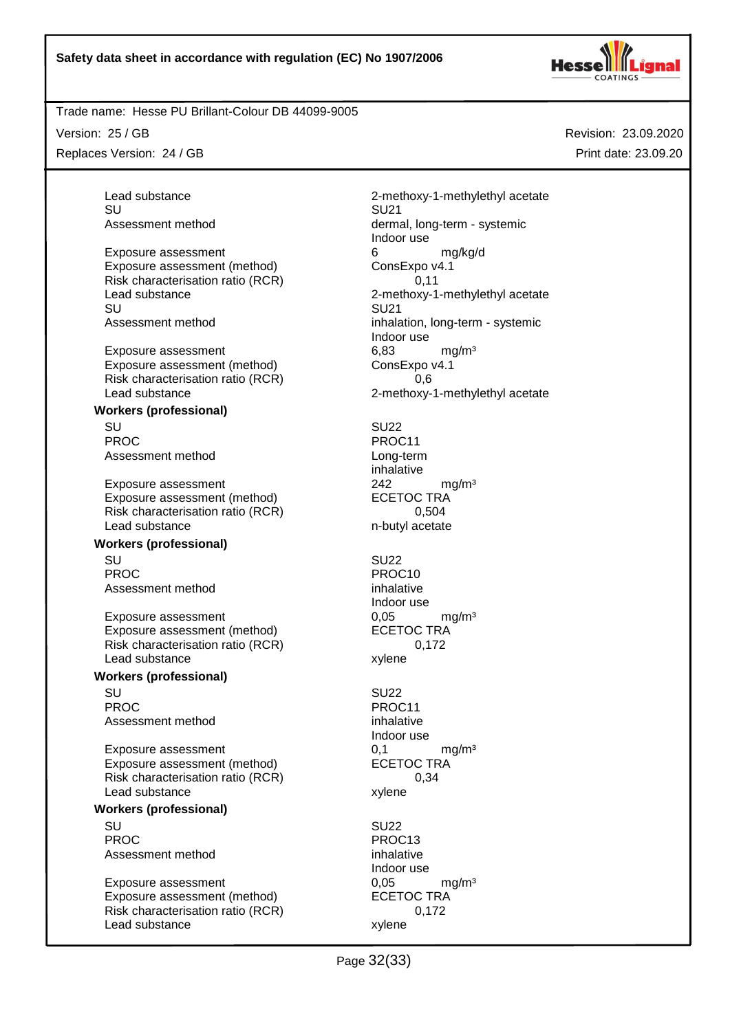SU SU21

SU SU21

SU SU22



## Trade name: Hesse PU Brillant-Colour DB 44099-9005

Exposure assessment (method)

**Workers (professional)**

**Workers (professional)**

**Workers (professional)**

**Workers (professional)**

Assessment method

Exposure assessment (method)

Risk characterisation ratio (RCR)

Version: 25 / GB

Replaces Version: 24 / GB

Lead substance example 2-methoxy-1-methylethyl acetate Assessment method dermal, long-term - systemic Indoor use Exposure assessment<br>
Exposure assessment (method) 6 consExpo v4.1 Risk characterisation ratio (RCR) 0,11 Lead substance **2-methoxy-1-methylethyl** acetate Assessment method inhalation, long-term - systemic Indoor use Exposure assessment 6,83 mg/m<sup>3</sup> Exposure assessment (method) ConsExpo v4.1 Risk characterisation ratio (RCR) 6.6 Lead substance **2-methoxy-1-methylethyl** acetate PROC PROCTER PROCTER PROCTER PROCTER PROCTER PROCTER PROCTER PROCTER PROCTER PROCTER PROCTER PROCTER PROCTER PROCTER PROCTER PROCTER PROCTER PROCTER PROCTER PROCTER PROCTER PROCTER PROCTER PROCTER PROCTER PROCTER PROCTER P Assessment method Long-term inhalative Exposure assessment 242 mg/m<sup>3</sup> Exposure assessment (method) ECETOC TRA Risk characterisation ratio (RCR) 0,504 Lead substance n-butyl acetate

SU SU22 PROC PROC10 Assessment method inhalative Indoor use Exposure assessment determines the control of the control of the mathematic method of the control of the ECETOC TRA mathematic method of the control of the control of the control of the control of the control of the contro

Assessment method inhalative Indoor use Exposure assessment  $0,1$  mg/m<sup>3</sup><br>Exposure assessment (method) ECETOC TRA Exposure assessment (method) ECETOC TR<br>Risk characterisation ratio (RCR) 6,34 Lead substance xylene

SU SU22 PROC<br>Assessment method example and provide the process of the process of the process of the process of the process<br>and the process of the process of the process of the process of the process of the process of the process o Indoor use Exposure assessment 6,05 mg/m<sup>3</sup> Exposure assessment (method) ECETOC TRA Risk characterisation ratio (RCR) 0,172 Lead substance xylene

Risk characterisation ratio (RCR) 0,172 Lead substance xylene SU SU22 PROC PROCTER PROCTER PROCTER PROCTER PROCTER PROCTER PROCTER PROCTER PROCTER PROCTER PROCTER PROCTER PROCTER PROCTER PROCTER PROCTER PROCTER PROCTER PROCTER PROCTER PROCTER PROCTER PROCTER PROCTER PROCTER PROCTER PROCTER P

Page 32(33)